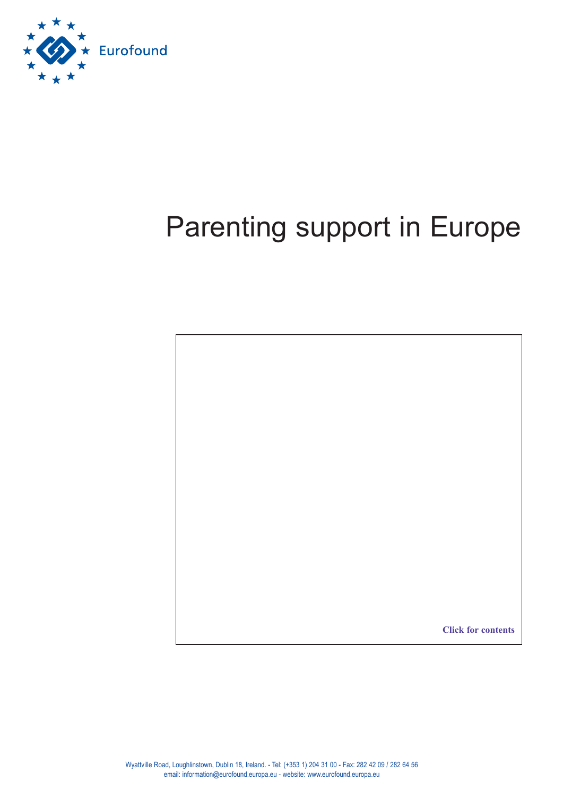

### Parenting support in Europe

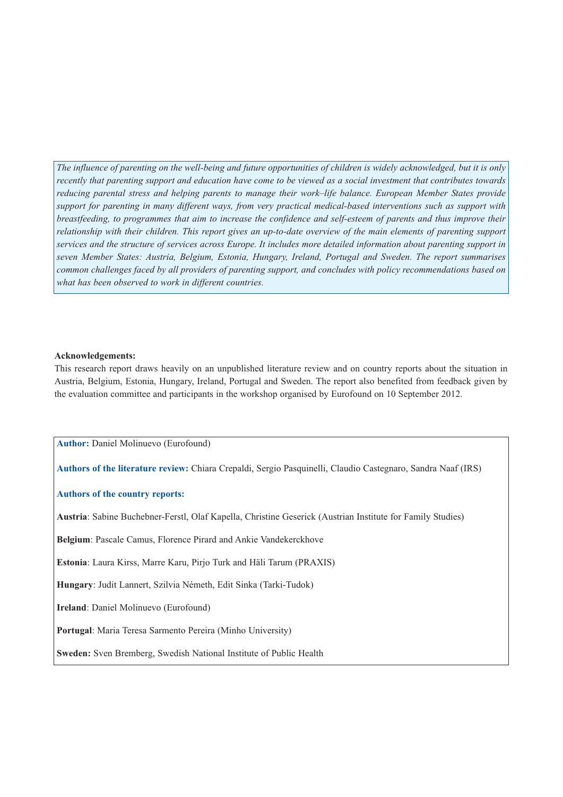*The influence of parenting on the well-being and future opportunities of children is widely acknowledged, but it is only recently that parenting support and education have come to be viewed as a social investment that contributes towards reducing parental stress and helping parents to manage their work–life balance. European Member States provide support for parenting in many different ways, from very practical medical-based interventions such as support with breastfeeding, to programmes that aim to increase the confidence and self-esteem of parents and thus improve their relationship with their children. This report gives an up-to-date overview of the main elements of parenting support services and the structure of services across Europe. It includes more detailed information about parenting support in seven Member States: Austria, Belgium, Estonia, Hungary, Ireland, Portugal and Sweden. The report summarises common challenges faced by all providers of parenting support, and concludes with policy recommendations based on what has been observed to work in different countries.*

### **Acknowledgements:**

This research report draws heavily on an unpublished literature review and on country reports about the situation in Austria, Belgium, Estonia, Hungary, Ireland, Portugal and Sweden. The report also benefited from feedback given by the evaluation committee and participants in the workshop organised by Eurofound on 10 September 2012.

**Author:** Daniel Molinuevo (Eurofound)

**Authors of the literature review:** Chiara Crepaldi, Sergio Pasquinelli, Claudio Castegnaro, Sandra Naaf (IRS)

### **Authors of the country reports:**

**Austria**: Sabine Buchebner-Ferstl, Olaf Kapella, Christine Geserick (Austrian Institute for Family Studies)

**Belgium**: Pascale Camus, Florence Pirard and Ankie Vandekerckhove

**Estonia**: Laura Kirss, Marre Karu, Pirjo Turk and Häli Tarum (PRAXIS)

**Hungary**: Judit Lannert, Szilvia Németh, Edit Sinka (Tarki-Tudok)

**Ireland**: Daniel Molinuevo (Eurofound)

**Portugal**: Maria Teresa Sarmento Pereira (Minho University)

**Sweden:** Sven Bremberg, Swedish National Institute of Public Health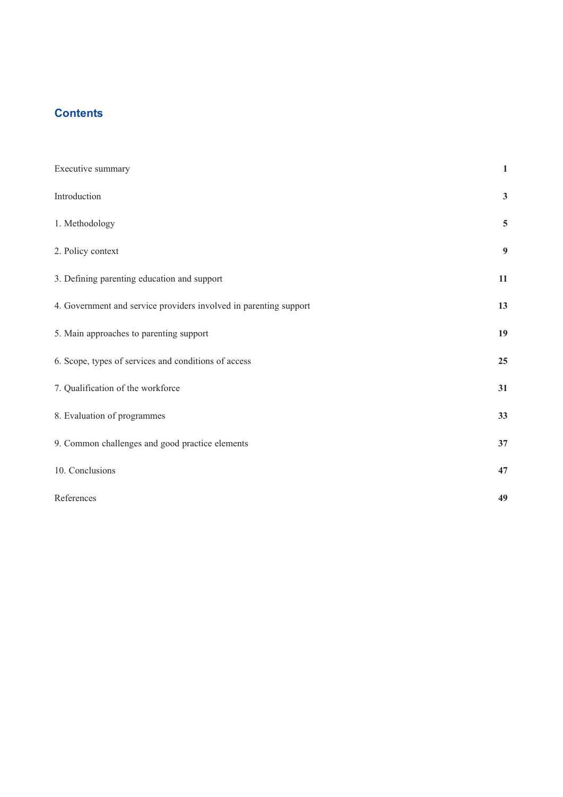### <span id="page-2-0"></span>**Contents**

| Executive summary                                                 | $\mathbf{1}$     |
|-------------------------------------------------------------------|------------------|
| Introduction                                                      | $\mathbf{3}$     |
| 1. Methodology                                                    | $\overline{5}$   |
| 2. Policy context                                                 | $\boldsymbol{9}$ |
| 3. Defining parenting education and support                       | $11\,$           |
| 4. Government and service providers involved in parenting support | 13               |
| 5. Main approaches to parenting support                           | 19               |
| 6. Scope, types of services and conditions of access              | 25               |
| 7. Qualification of the workforce                                 | 31               |
| 8. Evaluation of programmes                                       | 33               |
| 9. Common challenges and good practice elements                   | 37               |
| 10. Conclusions                                                   | 47               |
| References                                                        | 49               |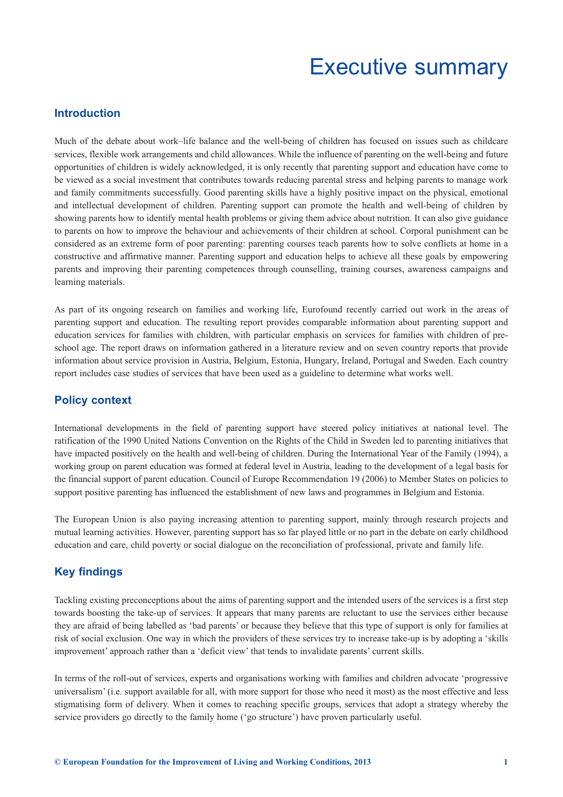### Executive summary

### <span id="page-4-0"></span>**Introduction**

Much of the debate about work–life balance and the well-being of children has focused on issues such as childcare services, flexible work arrangements and child allowances. While the influence of parenting on the well-being and future opportunities of children is widely acknowledged, it is only recently that parenting support and education have come to be viewed as a social investment that contributes towards reducing parental stress and helping parents to manage work and family commitments successfully. Good parenting skills have a highly positive impact on the physical, emotional and intellectual development of children. Parenting support can promote the health and well-being of children by showing parents how to identify mental health problems or giving them advice about nutrition. It can also give guidance to parents on how to improve the behaviour and achievements of their children at school. Corporal punishment can be considered as an extreme form of poor parenting: parenting courses teach parents how to solve conflicts at home in a constructive and affirmative manner. Parenting support and education helps to achieve all these goals by empowering parents and improving their parenting competences through counselling, training courses, awareness campaigns and learning materials.

As part of its ongoing research on families and working life, Eurofound recently carried out work in the areas of parenting support and education. The resulting report provides comparable information about parenting support and education services for families with children, with particular emphasis on services for families with children of preschool age. The report draws on information gathered in a literature review and on seven country reports that provide information about service provision in Austria, Belgium, Estonia, Hungary, Ireland, Portugal and Sweden. Each country report includes case studies of services that have been used as a guideline to determine what works well.

### **Policy context**

International developments in the field of parenting support have steered policy initiatives at national level. The ratification of the 1990 United Nations Convention on the Rights of the Child in Sweden led to parenting initiatives that have impacted positively on the health and well-being of children. During the International Year of the Family (1994), a working group on parent education was formed at federal level in Austria, leading to the development of a legal basis for the financial support of parent education. Council of Europe Recommendation 19 (2006) to Member States on policies to support positive parenting has influenced the establishment of new laws and programmes in Belgium and Estonia.

The European Union is also paying increasing attention to parenting support, mainly through research projects and mutual learning activities. However, parenting support has so far played little or no part in the debate on early childhood education and care, child poverty or social dialogue on the reconciliation of professional, private and family life.

### **Key findings**

Tackling existing preconceptions about the aims of parenting support and the intended users of the services is a first step towards boosting the take-up of services. It appears that many parents are reluctant to use the services either because they are afraid of being labelled as 'bad parents' or because they believe that this type of support is only for families at risk of social exclusion. One way in which the providers of these services try to increase take-up is by adopting a 'skills improvement' approach rather than a 'deficit view' that tends to invalidate parents' current skills.

In terms of the roll-out of services, experts and organisations working with families and children advocate 'progressive universalism' (i.e. support available for all, with more support for those who need it most) as the most effective and less stigmatising form of delivery. When it comes to reaching specific groups, services that adopt a strategy whereby the service providers go directly to the family home ('go structure') have proven particularly useful.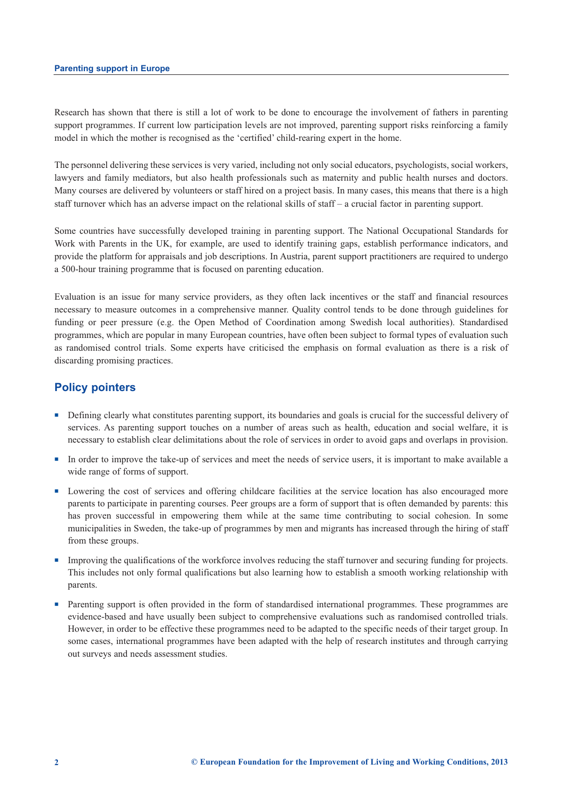Research has shown that there is still a lot of work to be done to encourage the involvement of fathers in parenting support programmes. If current low participation levels are not improved, parenting support risks reinforcing a family model in which the mother is recognised as the 'certified' child-rearing expert in the home.

The personnel delivering these services is very varied, including not only social educators, psychologists, social workers, lawyers and family mediators, but also health professionals such as maternity and public health nurses and doctors. Many courses are delivered by volunteers or staff hired on a project basis. In many cases, this means that there is a high staff turnover which has an adverse impact on the relational skills of staff – a crucial factor in parenting support.

Some countries have successfully developed training in parenting support. The National Occupational Standards for Work with Parents in the UK, for example, are used to identify training gaps, establish performance indicators, and provide the platform for appraisals and job descriptions. In Austria, parent support practitioners are required to undergo a 500-hour training programme that is focused on parenting education.

Evaluation is an issue for many service providers, as they often lack incentives or the staff and financial resources necessary to measure outcomes in a comprehensive manner. Quality control tends to be done through guidelines for funding or peer pressure (e.g. the Open Method of Coordination among Swedish local authorities). Standardised programmes, which are popular in many European countries, have often been subject to formal types of evaluation such as randomised control trials. Some experts have criticised the emphasis on formal evaluation as there is a risk of discarding promising practices.

### **Policy pointers**

- <sup>n</sup> Defining clearly what constitutes parenting support, its boundaries and goals is crucial for the successful delivery of services. As parenting support touches on a number of areas such as health, education and social welfare, it is necessary to establish clear delimitations about the role of services in order to avoid gaps and overlaps in provision.
- <sup>n</sup> In order to improve the take-up of services and meet the needs of service users, it is important to make available a wide range of forms of support.
- <sup>n</sup> Lowering the cost of services and offering childcare facilities at the service location has also encouraged more parents to participate in parenting courses. Peer groups are a form of support that is often demanded by parents: this has proven successful in empowering them while at the same time contributing to social cohesion. In some municipalities in Sweden, the take-up of programmes by men and migrants has increased through the hiring of staff from these groups.
- Improving the qualifications of the workforce involves reducing the staff turnover and securing funding for projects. This includes not only formal qualifications but also learning how to establish a smooth working relationship with parents.
- n Parenting support is often provided in the form of standardised international programmes. These programmes are evidence-based and have usually been subject to comprehensive evaluations such as randomised controlled trials. However, in order to be effective these programmes need to be adapted to the specific needs of their target group. In some cases, international programmes have been adapted with the help of research institutes and through carrying out surveys and needs assessment studies.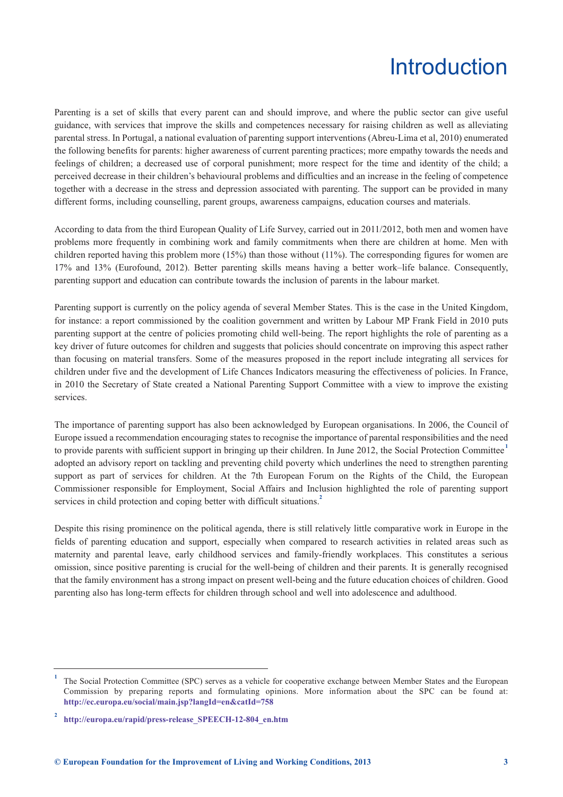### Introduction

<span id="page-6-0"></span>Parenting is a set of skills that every parent can and should improve, and where the public sector can give useful guidance, with services that improve the skills and competences necessary for raising children as well as alleviating parental stress. In Portugal, a national evaluation of parenting support interventions (Abreu-Lima et al, 2010) enumerated the following benefits for parents: higher awareness of current parenting practices; more empathy towards the needs and feelings of children; a decreased use of corporal punishment; more respect for the time and identity of the child; a perceived decrease in their children's behavioural problems and difficulties and an increase in the feeling of competence together with a decrease in the stress and depression associated with parenting. The support can be provided in many different forms, including counselling, parent groups, awareness campaigns, education courses and materials.

According to data from the third European Quality of Life Survey, carried out in 2011/2012, both men and women have problems more frequently in combining work and family commitments when there are children at home. Men with children reported having this problem more  $(15%)$  than those without  $(11%)$ . The corresponding figures for women are 17% and 13% (Eurofound, 2012). Better parenting skills means having a better work–life balance. Consequently, parenting support and education can contribute towards the inclusion of parents in the labour market.

Parenting support is currently on the policy agenda of several Member States. This is the case in the United Kingdom, for instance: a report commissioned by the coalition government and written by Labour MP Frank Field in 2010 puts parenting support at the centre of policies promoting child well-being. The report highlights the role of parenting as a key driver of future outcomes for children and suggests that policies should concentrate on improving this aspect rather than focusing on material transfers. Some of the measures proposed in the report include integrating all services for children under five and the development of Life Chances Indicators measuring the effectiveness of policies. In France, in 2010 the Secretary of State created a National Parenting Support Committee with a view to improve the existing services.

The importance of parenting support has also been acknowledged by European organisations. In 2006, the Council of Europe issued a recommendation encouraging states to recognise the importance of parental responsibilities and the need to provide parents with sufficient support in bringing up their children. In June 2012, the Social Protection Committee **<sup>1</sup>** adopted an advisory report on tackling and preventing child poverty which underlines the need to strengthen parenting support as part of services for children. At the 7th European Forum on the Rights of the Child, the European Commissioner responsible for Employment, Social Affairs and Inclusion highlighted the role of parenting support services in child protection and coping better with difficult situations.<sup>2</sup>

Despite this rising prominence on the political agenda, there is still relatively little comparative work in Europe in the fields of parenting education and support, especially when compared to research activities in related areas such as maternity and parental leave, early childhood services and family-friendly workplaces. This constitutes a serious omission, since positive parenting is crucial for the well-being of children and their parents. It is generally recognised that the family environment has a strong impact on present well-being and the future education choices of children. Good parenting also has long-term effects for children through school and well into adolescence and adulthood.

**<sup>1</sup>** The Social Protection Committee (SPC) serves as a vehicle for cooperative exchange between Member States and the European Commission by preparing reports and formulating opinions. More information about the SPC can be found at: **<http://ec.europa.eu/social/main.jsp?langId=en&catId=758>**

**<sup>2</sup> [http://europa.eu/rapid/press-release\\_SPEECH-12-804\\_en.htm](http://europa.eu/rapid/press-release_SPEECH-12-804_en.htm)**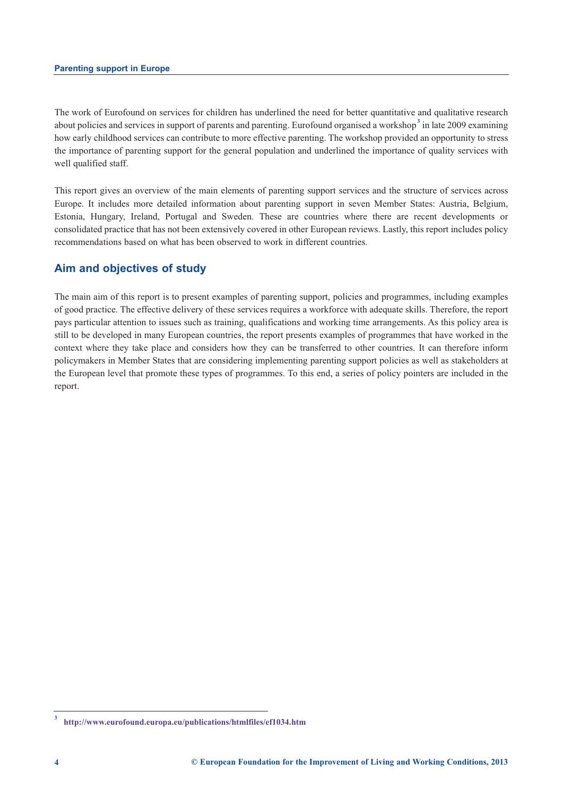The work of Eurofound on services for children has underlined the need for better quantitative and qualitative research about policies and services in support of parents and parenting. Eurofound organised a workshop<sup>3</sup> in late 2009 examining how early childhood services can contribute to more effective parenting. The workshop provided an opportunity to stress the importance of parenting support for the general population and underlined the importance of quality services with well qualified staff.

This report gives an overview of the main elements of parenting support services and the structure of services across Europe. It includes more detailed information about parenting support in seven Member States: Austria, Belgium, Estonia, Hungary, Ireland, Portugal and Sweden. These are countries where there are recent developments or consolidated practice that has not been extensively covered in other European reviews. Lastly, this report includes policy recommendations based on what has been observed to work in different countries.

### **Aim and objectives of study**

The main aim of this report is to present examples of parenting support, policies and programmes, including examples of good practice. The effective delivery of these services requires a workforce with adequate skills. Therefore, the report pays particular attention to issues such as training, qualifications and working time arrangements. As this policy area is still to be developed in many European countries, the report presents examples of programmes that have worked in the context where they take place and considers how they can be transferred to other countries. It can therefore inform policymakers in Member States that are considering implementing parenting support policies as well as stakeholders at the European level that promote these types of programmes. To this end, a series of policy pointers are included in the report.

**<sup>3</sup> <http://www.eurofound.europa.eu/publications/htmlfiles/ef1034.htm>**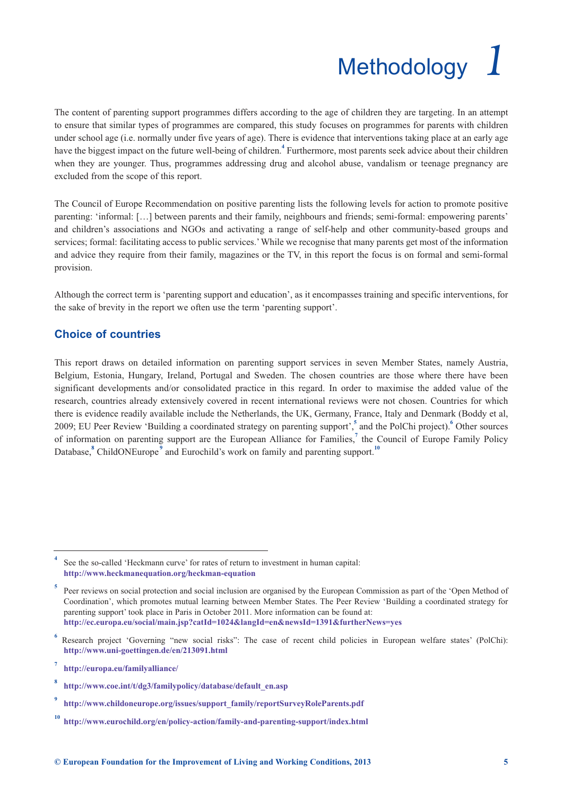# Methodology *1*

<span id="page-8-0"></span>The content of parenting support programmes differs according to the age of children they are targeting. In an attempt to ensure that similar types of programmes are compared, this study focuses on programmes for parents with children under school age (i.e. normally under five years of age). There is evidence that interventions taking place at an early age have the biggest impact on the future well-being of children.**<sup>4</sup>** Furthermore, most parents seek advice about their children when they are younger. Thus, programmes addressing drug and alcohol abuse, vandalism or teenage pregnancy are excluded from the scope of this report.

The Council of Europe Recommendation on positive parenting lists the following levels for action to promote positive parenting: 'informal: […] between parents and their family, neighbours and friends; semi-formal: empowering parents' and children's associations and NGOs and activating a range of self-help and other community-based groups and services; formal: facilitating access to public services.' While we recognise that many parents get most of the information and advice they require from their family, magazines or the TV, in this report the focus is on formal and semi-formal provision.

Although the correct term is 'parenting support and education', as it encompasses training and specific interventions, for the sake of brevity in the report we often use the term 'parenting support'.

### **Choice of countries**

This report draws on detailed information on parenting support services in seven Member States, namely Austria, Belgium, Estonia, Hungary, Ireland, Portugal and Sweden. The chosen countries are those where there have been significant developments and/or consolidated practice in this regard. In order to maximise the added value of the research, countries already extensively covered in recent international reviews were not chosen. Countries for which there is evidence readily available include the Netherlands, the UK, Germany, France, Italy and Denmark (Boddy et al, 2009; EU Peer Review 'Building a coordinated strategy on parenting support',**<sup>5</sup>** and the PolChi project).**<sup>6</sup>** Other sources of information on parenting support are the European Alliance for Families,**<sup>7</sup>** the Council of Europe Family Policy Database,<sup>8</sup> ChildONEurope<sup>9</sup> and Eurochild's work on family and parenting support.<sup>10</sup>

**<sup>4</sup>** See the so-called 'Heckmann curve' for rates of return to investment in human capital: **<http://www.heckmanequation.org/heckman-equation>**

**<sup>5</sup>** Peer reviews on social protection and social inclusion are organised by the European Commission as part of the 'Open Method of Coordination', which promotes mutual learning between Member States. The Peer Review 'Building a coordinated strategy for parenting support' took place in Paris in October 2011. More information can be found at: **<http://ec.europa.eu/social/main.jsp?catId=1024&langId=en&newsId=1391&furtherNews=yes>**

Research project 'Governing "new social risks": The case of recent child policies in European welfare states' (PolChi): **<http://www.uni-goettingen.de/en/213091.html>**

**<sup>7</sup> <http://europa.eu/familyalliance/>**

**<sup>8</sup> [http://www.coe.int/t/dg3/familypolicy/database/default\\_en.asp](http://www.coe.int/t/dg3/familypolicy/database/default_en.asp)**

**<sup>9</sup> [http://www.childoneurope.org/issues/support\\_family/reportSurveyRoleParents.pdf](http://www.childoneurope.org/issues/support_family/reportSurveyRoleParents.pdf)**

**<sup>10</sup> <http://www.eurochild.org/en/policy-action/family-and-parenting-support/index.html>**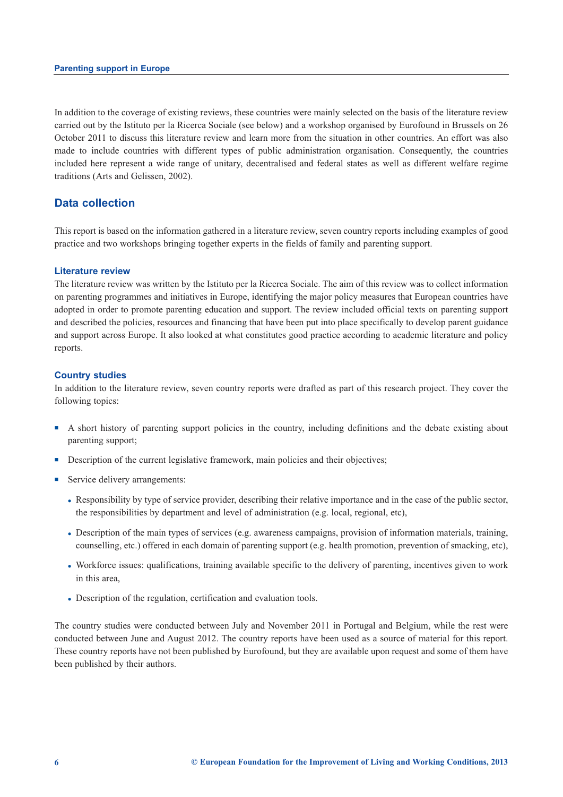In addition to the coverage of existing reviews, these countries were mainly selected on the basis of the literature review carried out by the Istituto per la Ricerca Sociale (see below) and a workshop organised by Eurofound in Brussels on 26 October 2011 to discuss this literature review and learn more from the situation in other countries. An effort was also made to include countries with different types of public administration organisation. Consequently, the countries included here represent a wide range of unitary, decentralised and federal states as well as different welfare regime traditions (Arts and Gelissen, 2002).

### **Data collection**

This report is based on the information gathered in a literature review, seven country reports including examples of good practice and two workshops bringing together experts in the fields of family and parenting support.

### **Literature review**

The literature review was written by the Istituto per la Ricerca Sociale. The aim of this review was to collect information on parenting programmes and initiatives in Europe, identifying the major policy measures that European countries have adopted in order to promote parenting education and support. The review included official texts on parenting support and described the policies, resources and financing that have been put into place specifically to develop parent guidance and support across Europe. It also looked at what constitutes good practice according to academic literature and policy reports.

### **Country studies**

In addition to the literature review, seven country reports were drafted as part of this research project. They cover the following topics:

- <sup>n</sup> A short history of parenting support policies in the country, including definitions and the debate existing about parenting support;
- **n** Description of the current legislative framework, main policies and their objectives;
- Service delivery arrangements:
	- <sup>l</sup> Responsibility by type of service provider, describing their relative importance and in the case of the public sector, the responsibilities by department and level of administration (e.g. local, regional, etc),
	- <sup>l</sup> Description of the main types of services (e.g. awareness campaigns, provision of information materials, training, counselling, etc.) offered in each domain of parenting support (e.g. health promotion, prevention of smacking, etc),
	- <sup>l</sup> Workforce issues: qualifications, training available specific to the delivery of parenting, incentives given to work in this area,
	- Description of the regulation, certification and evaluation tools.

The country studies were conducted between July and November 2011 in Portugal and Belgium, while the rest were conducted between June and August 2012. The country reports have been used as a source of material for this report. These country reports have not been published by Eurofound, but they are available upon request and some of them have been published by their authors.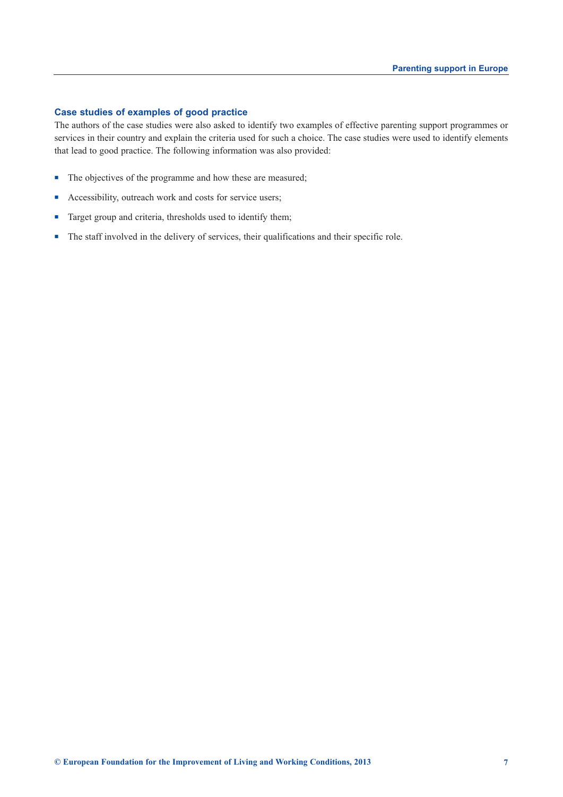### **Case studies of examples of good practice**

The authors of the case studies were also asked to identify two examples of effective parenting support programmes or services in their country and explain the criteria used for such a choice. The case studies were used to identify elements that lead to good practice. The following information was also provided:

- The objectives of the programme and how these are measured;
- <sup>n</sup> Accessibility, outreach work and costs for service users;
- Target group and criteria, thresholds used to identify them;
- The staff involved in the delivery of services, their qualifications and their specific role.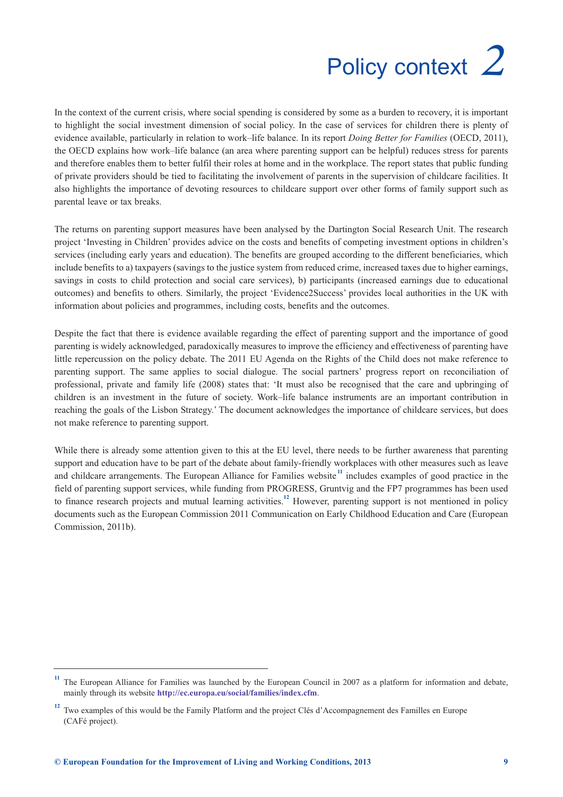# Policy context *2*

<span id="page-12-0"></span>In the context of the current crisis, where social spending is considered by some as a burden to recovery, it is important to highlight the social investment dimension of social policy. In the case of services for children there is plenty of evidence available, particularly in relation to work–life balance. In its report *Doing Better for Families* (OECD, 2011), the OECD explains how work–life balance (an area where parenting support can be helpful) reduces stress for parents and therefore enables them to better fulfil their roles at home and in the workplace. The report states that public funding of private providers should be tied to facilitating the involvement of parents in the supervision of childcare facilities. It also highlights the importance of devoting resources to childcare support over other forms of family support such as parental leave or tax breaks.

The returns on parenting support measures have been analysed by the Dartington Social Research Unit. The research project 'Investing in Children' provides advice on the costs and benefits of competing investment options in children's services (including early years and education). The benefits are grouped according to the different beneficiaries, which include benefits to a) taxpayers (savings to the justice system from reduced crime, increased taxes due to higher earnings, savings in costs to child protection and social care services), b) participants (increased earnings due to educational outcomes) and benefits to others. Similarly, the project 'Evidence2Success' provides local authorities in the UK with information about policies and programmes, including costs, benefits and the outcomes.

Despite the fact that there is evidence available regarding the effect of parenting support and the importance of good parenting is widely acknowledged, paradoxically measures to improve the efficiency and effectiveness of parenting have little repercussion on the policy debate. The 2011 EU Agenda on the Rights of the Child does not make reference to parenting support. The same applies to social dialogue. The social partners' progress report on reconciliation of professional, private and family life (2008) states that: 'It must also be recognised that the care and upbringing of children is an investment in the future of society. Work–life balance instruments are an important contribution in reaching the goals of the Lisbon Strategy.' The document acknowledges the importance of childcare services, but does not make reference to parenting support.

While there is already some attention given to this at the EU level, there needs to be further awareness that parenting support and education have to be part of the debate about family-friendly workplaces with other measures such as leave and childcare arrangements. The European Alliance for Families website<sup>11</sup> includes examples of good practice in the field of parenting support services, while funding from PROGRESS, Gruntvig and the FP7 programmes has been used to finance research projects and mutual learning activities.**<sup>12</sup>** However, parenting support is not mentioned in policy documents such as the European Commission 2011 Communication on Early Childhood Education and Care (European Commission, 2011b).

<sup>&</sup>lt;sup>11</sup> The European Alliance for Families was launched by the European Council in 2007 as a platform for information and debate, mainly through its website **<http://ec.europa.eu/social/families/index.cfm>**.

<sup>&</sup>lt;sup>12</sup> Two examples of this would be the Family Platform and the project Clés d'Accompagnement des Familles en Europe (CAFé project).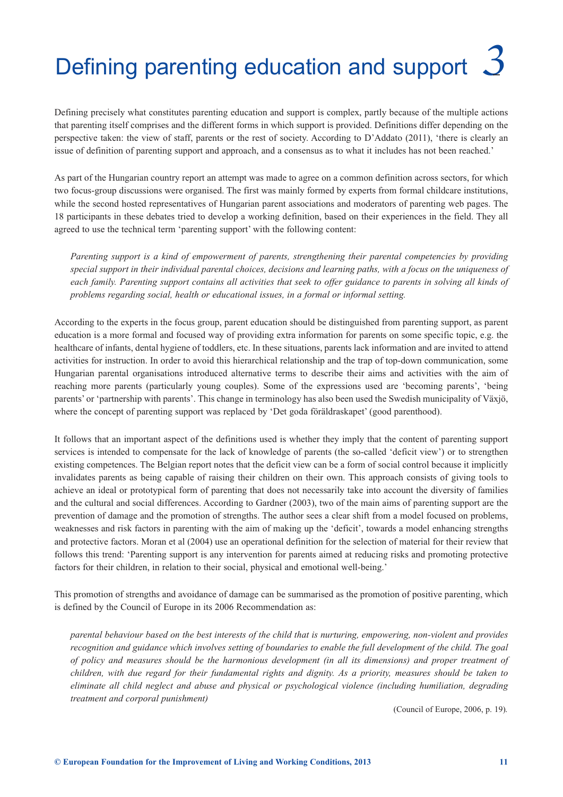# <span id="page-14-0"></span>Defining parenting education and support *3*

Defining precisely what constitutes parenting education and support is complex, partly because of the multiple actions that parenting itself comprises and the different forms in which support is provided. Definitions differ depending on the perspective taken: the view of staff, parents or the rest of society. According to D'Addato (2011), 'there is clearly an issue of definition of parenting support and approach, and a consensus as to what it includes has not been reached.'

As part of the Hungarian country report an attempt was made to agree on a common definition across sectors, for which two focus-group discussions were organised. The first was mainly formed by experts from formal childcare institutions, while the second hosted representatives of Hungarian parent associations and moderators of parenting web pages. The 18 participants in these debates tried to develop a working definition, based on their experiences in the field. They all agreed to use the technical term 'parenting support' with the following content:

*Parenting support is a kind of empowerment of parents, strengthening their parental competencies by providing special support in their individual parental choices, decisions and learning paths, with a focus on the uniqueness of each family. Parenting support contains all activities that seek to offer guidance to parents in solving all kinds of problems regarding social, health or educational issues, in a formal or informal setting.* 

According to the experts in the focus group, parent education should be distinguished from parenting support, as parent education is a more formal and focused way of providing extra information for parents on some specific topic, e.g. the healthcare of infants, dental hygiene of toddlers, etc. In these situations, parents lack information and are invited to attend activities for instruction. In order to avoid this hierarchical relationship and the trap of top-down communication, some Hungarian parental organisations introduced alternative terms to describe their aims and activities with the aim of reaching more parents (particularly young couples). Some of the expressions used are 'becoming parents', 'being parents' or 'partnership with parents'. This change in terminology has also been used the Swedish municipality of Växjö, where the concept of parenting support was replaced by 'Det goda föräldraskapet' (good parenthood).

It follows that an important aspect of the definitions used is whether they imply that the content of parenting support services is intended to compensate for the lack of knowledge of parents (the so-called 'deficit view') or to strengthen existing competences. The Belgian report notes that the deficit view can be a form of social control because it implicitly invalidates parents as being capable of raising their children on their own. This approach consists of giving tools to achieve an ideal or prototypical form of parenting that does not necessarily take into account the diversity of families and the cultural and social differences. According to Gardner (2003), two of the main aims of parenting support are the prevention of damage and the promotion of strengths. The author sees a clear shift from a model focused on problems, weaknesses and risk factors in parenting with the aim of making up the 'deficit', towards a model enhancing strengths and protective factors. Moran et al (2004) use an operational definition for the selection of material for their review that follows this trend: 'Parenting support is any intervention for parents aimed at reducing risks and promoting protective factors for their children, in relation to their social, physical and emotional well-being.'

This promotion of strengths and avoidance of damage can be summarised as the promotion of positive parenting, which is defined by the Council of Europe in its 2006 Recommendation as:

*parental behaviour based on the best interests of the child that is nurturing, empowering, non-violent and provides recognition and guidance which involves setting of boundaries to enable the full development of the child. The goal of policy and measures should be the harmonious development (in all its dimensions) and proper treatment of children, with due regard for their fundamental rights and dignity. As a priority, measures should be taken to eliminate all child neglect and abuse and physical or psychological violence (including humiliation, degrading treatment and corporal punishment)* 

(Council of Europe, 2006, p. 19)*.*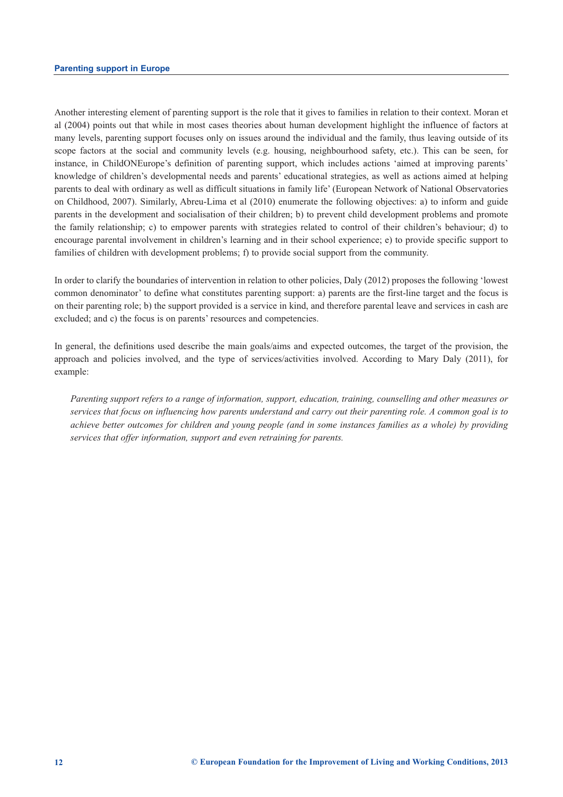Another interesting element of parenting support is the role that it gives to families in relation to their context. Moran et al (2004) points out that while in most cases theories about human development highlight the influence of factors at many levels, parenting support focuses only on issues around the individual and the family, thus leaving outside of its scope factors at the social and community levels (e.g. housing, neighbourhood safety, etc.). This can be seen, for instance, in ChildONEurope's definition of parenting support, which includes actions 'aimed at improving parents' knowledge of children's developmental needs and parents' educational strategies, as well as actions aimed at helping parents to deal with ordinary as well as difficult situations in family life' (European Network of National Observatories on Childhood, 2007). Similarly, Abreu-Lima et al (2010) enumerate the following objectives: a) to inform and guide parents in the development and socialisation of their children; b) to prevent child development problems and promote the family relationship; c) to empower parents with strategies related to control of their children's behaviour; d) to encourage parental involvement in children's learning and in their school experience; e) to provide specific support to families of children with development problems; f) to provide social support from the community.

In order to clarify the boundaries of intervention in relation to other policies, Daly (2012) proposes the following 'lowest common denominator' to define what constitutes parenting support: a) parents are the first-line target and the focus is on their parenting role; b) the support provided is a service in kind, and therefore parental leave and services in cash are excluded; and c) the focus is on parents' resources and competencies.

In general, the definitions used describe the main goals/aims and expected outcomes, the target of the provision, the approach and policies involved, and the type of services/activities involved. According to Mary Daly (2011), for example:

*Parenting support refers to a range of information, support, education, training, counselling and other measures or services that focus on influencing how parents understand and carry out their parenting role. A common goal is to achieve better outcomes for children and young people (and in some instances families as a whole) by providing services that offer information, support and even retraining for parents.*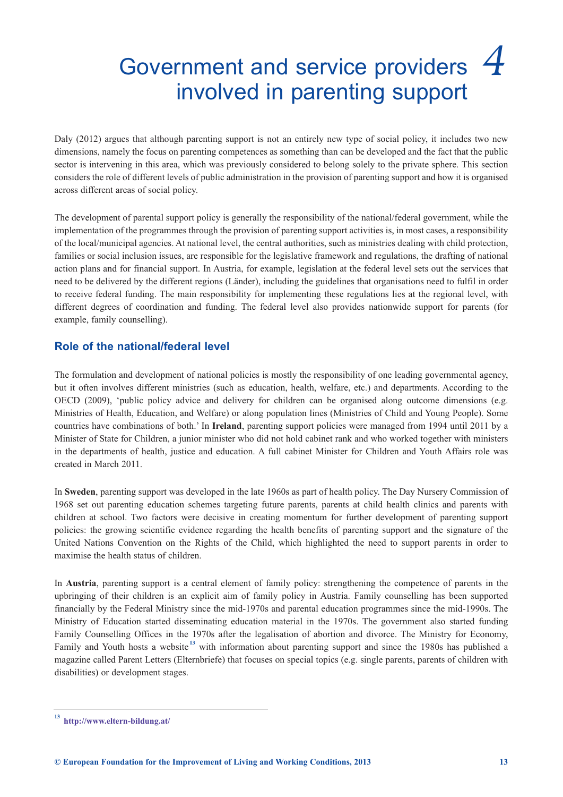## <span id="page-16-0"></span>Government and service providers *4* involved in parenting support

Daly (2012) argues that although parenting support is not an entirely new type of social policy, it includes two new dimensions, namely the focus on parenting competences as something than can be developed and the fact that the public sector is intervening in this area, which was previously considered to belong solely to the private sphere. This section considers the role of different levels of public administration in the provision of parenting support and how it is organised across different areas of social policy.

The development of parental support policy is generally the responsibility of the national/federal government, while the implementation of the programmes through the provision of parenting support activities is, in most cases, a responsibility of the local/municipal agencies. At national level, the central authorities, such as ministries dealing with child protection, families or social inclusion issues, are responsible for the legislative framework and regulations, the drafting of national action plans and for financial support. In Austria, for example, legislation at the federal level sets out the services that need to be delivered by the different regions (Länder), including the guidelines that organisations need to fulfil in order to receive federal funding. The main responsibility for implementing these regulations lies at the regional level, with different degrees of coordination and funding. The federal level also provides nationwide support for parents (for example, family counselling).

### **Role of the national/federal level**

The formulation and development of national policies is mostly the responsibility of one leading governmental agency, but it often involves different ministries (such as education, health, welfare, etc.) and departments. According to the OECD (2009), 'public policy advice and delivery for children can be organised along outcome dimensions (e.g. Ministries of Health, Education, and Welfare) or along population lines (Ministries of Child and Young People). Some countries have combinations of both.' In **Ireland**, parenting support policies were managed from 1994 until 2011 by a Minister of State for Children, a junior minister who did not hold cabinet rank and who worked together with ministers in the departments of health, justice and education. A full cabinet Minister for Children and Youth Affairs role was created in March 2011.

In **Sweden**, parenting support was developed in the late 1960s as part of health policy. The Day Nursery Commission of 1968 set out parenting education schemes targeting future parents, parents at child health clinics and parents with children at school. Two factors were decisive in creating momentum for further development of parenting support policies: the growing scientific evidence regarding the health benefits of parenting support and the signature of the United Nations Convention on the Rights of the Child, which highlighted the need to support parents in order to maximise the health status of children.

In **Austria**, parenting support is a central element of family policy: strengthening the competence of parents in the upbringing of their children is an explicit aim of family policy in Austria. Family counselling has been supported financially by the Federal Ministry since the mid-1970s and parental education programmes since the mid-1990s. The Ministry of Education started disseminating education material in the 1970s. The government also started funding Family Counselling Offices in the 1970s after the legalisation of abortion and divorce. The Ministry for Economy, Family and Youth hosts a website<sup>13</sup> with information about parenting support and since the 1980s has published a magazine called Parent Letters (Elternbriefe) that focuses on special topics (e.g. single parents, parents of children with disabilities) or development stages.

**<sup>13</sup> <http://www.eltern-bildung.at/>**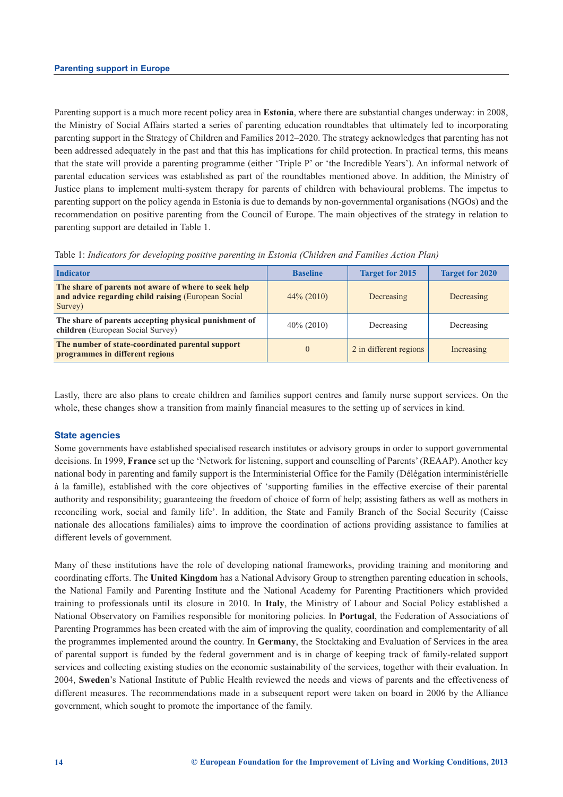Parenting support is a much more recent policy area in **Estonia**, where there are substantial changes underway: in 2008, the Ministry of Social Affairs started a series of parenting education roundtables that ultimately led to incorporating parenting support in the Strategy of Children and Families 2012–2020. The strategy acknowledges that parenting has not been addressed adequately in the past and that this has implications for child protection. In practical terms, this means that the state will provide a parenting programme (either 'Triple P' or 'the Incredible Years'). An informal network of parental education services was established as part of the roundtables mentioned above. In addition, the Ministry of Justice plans to implement multi-system therapy for parents of children with behavioural problems. The impetus to parenting support on the policy agenda in Estonia is due to demands by non-governmental organisations (NGOs) and the recommendation on positive parenting from the Council of Europe. The main objectives of the strategy in relation to parenting support are detailed in Table 1.

| <b>Indicator</b>                                                                                                       | <b>Baseline</b> | <b>Target for 2015</b> | <b>Target for 2020</b> |
|------------------------------------------------------------------------------------------------------------------------|-----------------|------------------------|------------------------|
| The share of parents not aware of where to seek help<br>and advice regarding child raising (European Social<br>Survey) | $44\% (2010)$   | Decreasing             | Decreasing             |
| The share of parents accepting physical punishment of<br>children (European Social Survey)                             | $40\%$ (2010)   | Decreasing             | Decreasing             |
| The number of state-coordinated parental support<br>programmes in different regions                                    | $\Omega$        | 2 in different regions | Increasing             |

Table 1: *Indicators for developing positive parenting in Estonia (Children and Families Action Plan)*

Lastly, there are also plans to create children and families support centres and family nurse support services. On the whole, these changes show a transition from mainly financial measures to the setting up of services in kind.

### **State agencies**

Some governments have established specialised research institutes or advisory groups in order to support governmental decisions. In 1999, **France** set up the 'Network for listening, support and counselling of Parents' (REAAP). Another key national body in parenting and family support is the Interministerial Office for the Family (Délégation interministérielle à la famille), established with the core objectives of 'supporting families in the effective exercise of their parental authority and responsibility; guaranteeing the freedom of choice of form of help; assisting fathers as well as mothers in reconciling work, social and family life'. In addition, the State and Family Branch of the Social Security (Caisse nationale des allocations familiales) aims to improve the coordination of actions providing assistance to families at different levels of government.

Many of these institutions have the role of developing national frameworks, providing training and monitoring and coordinating efforts. The **United Kingdom** has a National Advisory Group to strengthen parenting education in schools, the National Family and Parenting Institute and the National Academy for Parenting Practitioners which provided training to professionals until its closure in 2010. In **Italy**, the Ministry of Labour and Social Policy established a National Observatory on Families responsible for monitoring policies. In **Portugal**, the Federation of Associations of Parenting Programmes has been created with the aim of improving the quality, coordination and complementarity of all the programmes implemented around the country. In **Germany**, the Stocktaking and Evaluation of Services in the area of parental support is funded by the federal government and is in charge of keeping track of family-related support services and collecting existing studies on the economic sustainability of the services, together with their evaluation. In 2004, **Sweden**'s National Institute of Public Health reviewed the needs and views of parents and the effectiveness of different measures. The recommendations made in a subsequent report were taken on board in 2006 by the Alliance government, which sought to promote the importance of the family.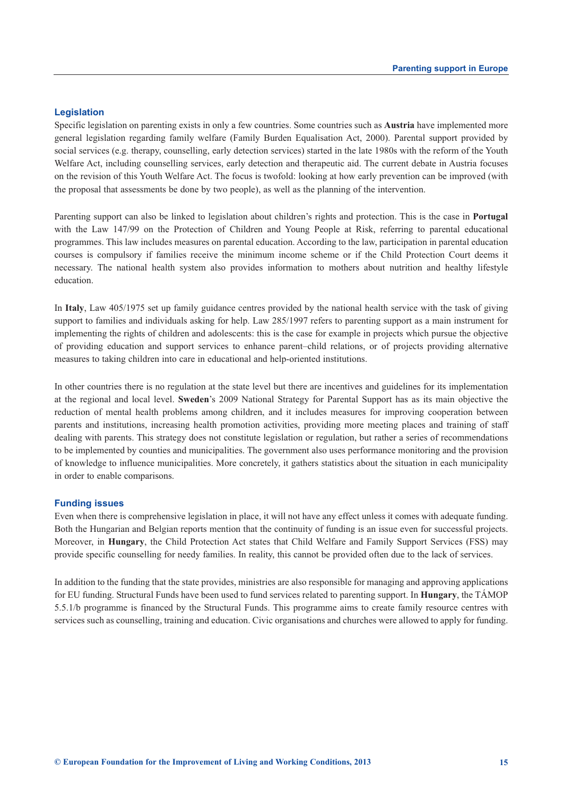### **Legislation**

Specific legislation on parenting exists in only a few countries. Some countries such as **Austria** have implemented more general legislation regarding family welfare (Family Burden Equalisation Act, 2000). Parental support provided by social services (e.g. therapy, counselling, early detection services) started in the late 1980s with the reform of the Youth Welfare Act, including counselling services, early detection and therapeutic aid. The current debate in Austria focuses on the revision of this Youth Welfare Act. The focus is twofold: looking at how early prevention can be improved (with the proposal that assessments be done by two people), as well as the planning of the intervention.

Parenting support can also be linked to legislation about children's rights and protection. This is the case in **Portugal** with the Law 147/99 on the Protection of Children and Young People at Risk, referring to parental educational programmes. This law includes measures on parental education. According to the law, participation in parental education courses is compulsory if families receive the minimum income scheme or if the Child Protection Court deems it necessary. The national health system also provides information to mothers about nutrition and healthy lifestyle education.

In **Italy**, Law 405/1975 set up family guidance centres provided by the national health service with the task of giving support to families and individuals asking for help. Law 285/1997 refers to parenting support as a main instrument for implementing the rights of children and adolescents: this is the case for example in projects which pursue the objective of providing education and support services to enhance parent–child relations, or of projects providing alternative measures to taking children into care in educational and help-oriented institutions.

In other countries there is no regulation at the state level but there are incentives and guidelines for its implementation at the regional and local level. **Sweden**'s 2009 National Strategy for Parental Support has as its main objective the reduction of mental health problems among children, and it includes measures for improving cooperation between parents and institutions, increasing health promotion activities, providing more meeting places and training of staff dealing with parents. This strategy does not constitute legislation or regulation, but rather a series of recommendations to be implemented by counties and municipalities. The government also uses performance monitoring and the provision of knowledge to influence municipalities. More concretely, it gathers statistics about the situation in each municipality in order to enable comparisons.

### **Funding issues**

Even when there is comprehensive legislation in place, it will not have any effect unless it comes with adequate funding. Both the Hungarian and Belgian reports mention that the continuity of funding is an issue even for successful projects. Moreover, in **Hungary**, the Child Protection Act states that Child Welfare and Family Support Services (FSS) may provide specific counselling for needy families. In reality, this cannot be provided often due to the lack of services.

In addition to the funding that the state provides, ministries are also responsible for managing and approving applications for EU funding. Structural Funds have been used to fund services related to parenting support. In **Hungary**, the TÁMOP 5.5.1/b programme is financed by the Structural Funds. This programme aims to create family resource centres with services such as counselling, training and education. Civic organisations and churches were allowed to apply for funding.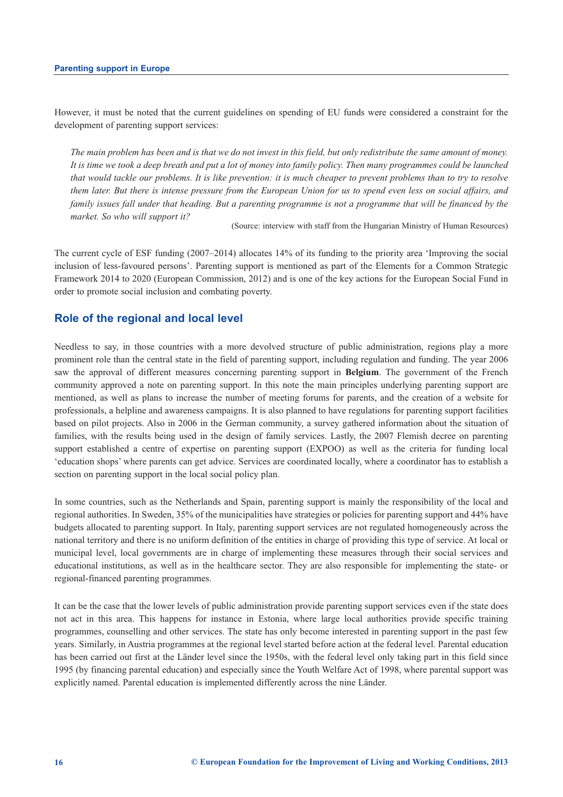However, it must be noted that the current guidelines on spending of EU funds were considered a constraint for the development of parenting support services:

*The main problem has been and is that we do not invest in this field, but only redistribute the same amount of money. It is time we took a deep breath and put a lot of money into family policy. Then many programmes could be launched that would tackle our problems. It is like prevention: it is much cheaper to prevent problems than to try to resolve them later. But there is intense pressure from the European Union for us to spend even less on social affairs, and family issues fall under that heading. But a parenting programme is not a programme that will be financed by the market. So who will support it?* 

(Source: interview with staff from the Hungarian Ministry of Human Resources)

The current cycle of ESF funding (2007–2014) allocates 14% of its funding to the priority area 'Improving the social inclusion of less-favoured persons'. Parenting support is mentioned as part of the Elements for a Common Strategic Framework 2014 to 2020 (European Commission, 2012) and is one of the key actions for the European Social Fund in order to promote social inclusion and combating poverty.

### **Role of the regional and local level**

Needless to say, in those countries with a more devolved structure of public administration, regions play a more prominent role than the central state in the field of parenting support, including regulation and funding. The year 2006 saw the approval of different measures concerning parenting support in **Belgium**. The government of the French community approved a note on parenting support. In this note the main principles underlying parenting support are mentioned, as well as plans to increase the number of meeting forums for parents, and the creation of a website for professionals, a helpline and awareness campaigns. It is also planned to have regulations for parenting support facilities based on pilot projects. Also in 2006 in the German community, a survey gathered information about the situation of families, with the results being used in the design of family services. Lastly, the 2007 Flemish decree on parenting support established a centre of expertise on parenting support (EXPOO) as well as the criteria for funding local 'education shops' where parents can get advice. Services are coordinated locally, where a coordinator has to establish a section on parenting support in the local social policy plan.

In some countries, such as the Netherlands and Spain, parenting support is mainly the responsibility of the local and regional authorities. In Sweden, 35% of the municipalities have strategies or policies for parenting support and 44% have budgets allocated to parenting support. In Italy, parenting support services are not regulated homogeneously across the national territory and there is no uniform definition of the entities in charge of providing this type of service. At local or municipal level, local governments are in charge of implementing these measures through their social services and educational institutions, as well as in the healthcare sector. They are also responsible for implementing the state- or regional-financed parenting programmes.

It can be the case that the lower levels of public administration provide parenting support services even if the state does not act in this area. This happens for instance in Estonia, where large local authorities provide specific training programmes, counselling and other services. The state has only become interested in parenting support in the past few years. Similarly, in Austria programmes at the regional level started before action at the federal level. Parental education has been carried out first at the Länder level since the 1950s, with the federal level only taking part in this field since 1995 (by financing parental education) and especially since the Youth Welfare Act of 1998, where parental support was explicitly named. Parental education is implemented differently across the nine Länder.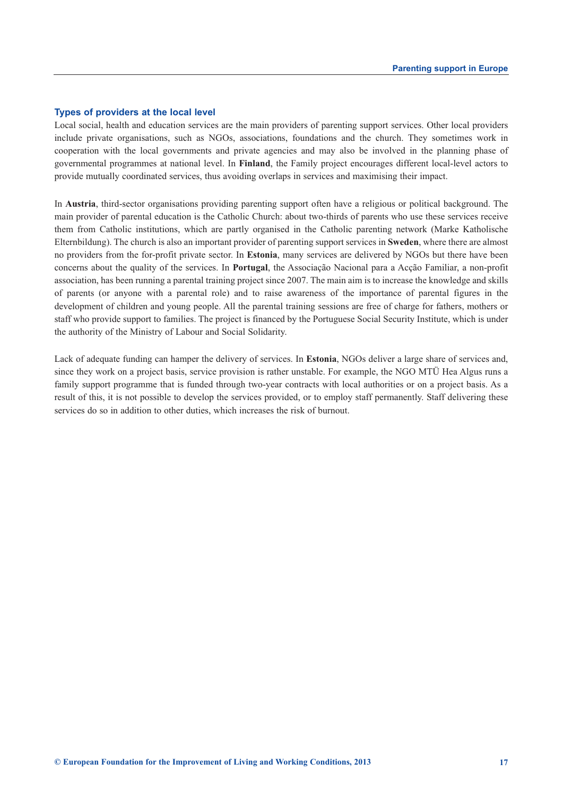### **Types of providers at the local level**

Local social, health and education services are the main providers of parenting support services. Other local providers include private organisations, such as NGOs, associations, foundations and the church. They sometimes work in cooperation with the local governments and private agencies and may also be involved in the planning phase of governmental programmes at national level. In **Finland**, the Family project encourages different local-level actors to provide mutually coordinated services, thus avoiding overlaps in services and maximising their impact.

In **Austria**, third-sector organisations providing parenting support often have a religious or political background. The main provider of parental education is the Catholic Church: about two-thirds of parents who use these services receive them from Catholic institutions, which are partly organised in the Catholic parenting network (Marke Katholische Elternbildung). The church is also an important provider of parenting support services in **Sweden**, where there are almost no providers from the for-profit private sector. In **Estonia**, many services are delivered by NGOs but there have been concerns about the quality of the services. In **Portugal**, the Associação Nacional para a Acção Familiar, a non-profit association, has been running a parental training project since 2007. The main aim is to increase the knowledge and skills of parents (or anyone with a parental role) and to raise awareness of the importance of parental figures in the development of children and young people. All the parental training sessions are free of charge for fathers, mothers or staff who provide support to families. The project is financed by the Portuguese Social Security Institute, which is under the authority of the Ministry of Labour and Social Solidarity.

Lack of adequate funding can hamper the delivery of services. In **Estonia**, NGOs deliver a large share of services and, since they work on a project basis, service provision is rather unstable. For example, the NGO MTÜ Hea Algus runs a family support programme that is funded through two-year contracts with local authorities or on a project basis. As a result of this, it is not possible to develop the services provided, or to employ staff permanently. Staff delivering these services do so in addition to other duties, which increases the risk of burnout.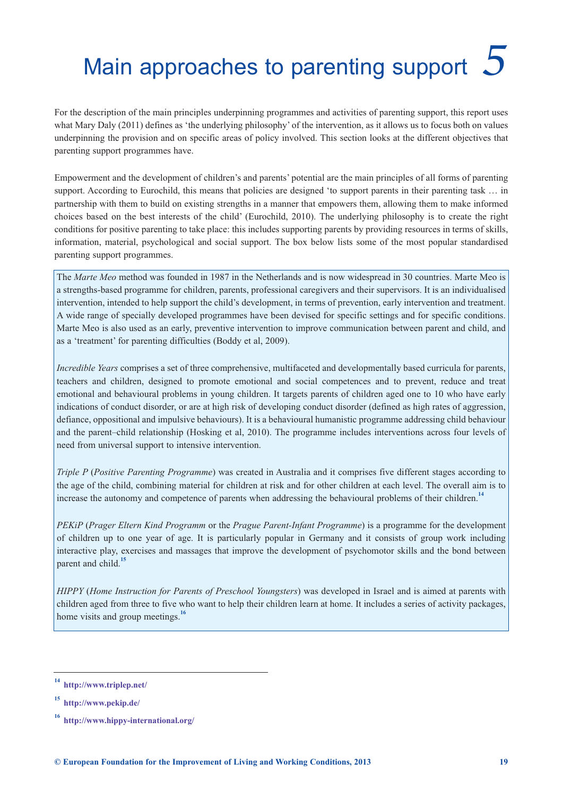# <span id="page-22-0"></span>Main approaches to parenting support *5*

For the description of the main principles underpinning programmes and activities of parenting support, this report uses what Mary Daly (2011) defines as 'the underlying philosophy' of the intervention, as it allows us to focus both on values underpinning the provision and on specific areas of policy involved. This section looks at the different objectives that parenting support programmes have.

Empowerment and the development of children's and parents' potential are the main principles of all forms of parenting support. According to Eurochild, this means that policies are designed 'to support parents in their parenting task ... in partnership with them to build on existing strengths in a manner that empowers them, allowing them to make informed choices based on the best interests of the child' (Eurochild, 2010). The underlying philosophy is to create the right conditions for positive parenting to take place: this includes supporting parents by providing resources in terms of skills, information, material, psychological and social support. The box below lists some of the most popular standardised parenting support programmes.

The *Marte Meo* method was founded in 1987 in the Netherlands and is now widespread in 30 countries. Marte Meo is a strengths-based programme for children, parents, professional caregivers and their supervisors. It is an individualised intervention, intended to help support the child's development, in terms of prevention, early intervention and treatment. A wide range of specially developed programmes have been devised for specific settings and for specific conditions. Marte Meo is also used as an early, preventive intervention to improve communication between parent and child, and as a 'treatment' for parenting difficulties (Boddy et al, 2009).

*Incredible Years* comprises a set of three comprehensive, multifaceted and developmentally based curricula for parents, teachers and children, designed to promote emotional and social competences and to prevent, reduce and treat emotional and behavioural problems in young children. It targets parents of children aged one to 10 who have early indications of conduct disorder, or are at high risk of developing conduct disorder (defined as high rates of aggression, defiance, oppositional and impulsive behaviours). It is a behavioural humanistic programme addressing child behaviour and the parent–child relationship (Hosking et al, 2010). The programme includes interventions across four levels of need from universal support to intensive intervention.

*Triple P (Positive Parenting Programme)* was created in Australia and it comprises five different stages according to the age of the child, combining material for children at risk and for other children at each level. The overall aim is to increase the autonomy and competence of parents when addressing the behavioural problems of their children.**<sup>14</sup>**

*PEKiP* (*Prager Eltern Kind Programm* or the *Prague Parent-Infant Programme*) is a programme for the development of children up to one year of age. It is particularly popular in Germany and it consists of group work including interactive play, exercises and massages that improve the development of psychomotor skills and the bond between parent and child.**<sup>15</sup>**

*HIPPY* (*Home Instruction for Parents of Preschool Youngsters*) was developed in Israel and is aimed at parents with children aged from three to five who want to help their children learn at home. It includes a series of activity packages, home visits and group meetings.**<sup>16</sup>**

**<sup>14</sup> <http://www.triplep.net/>**

**<sup>15</sup> <http://www.pekip.de/>**

**<sup>16</sup> <http://www.hippy-international.org/>**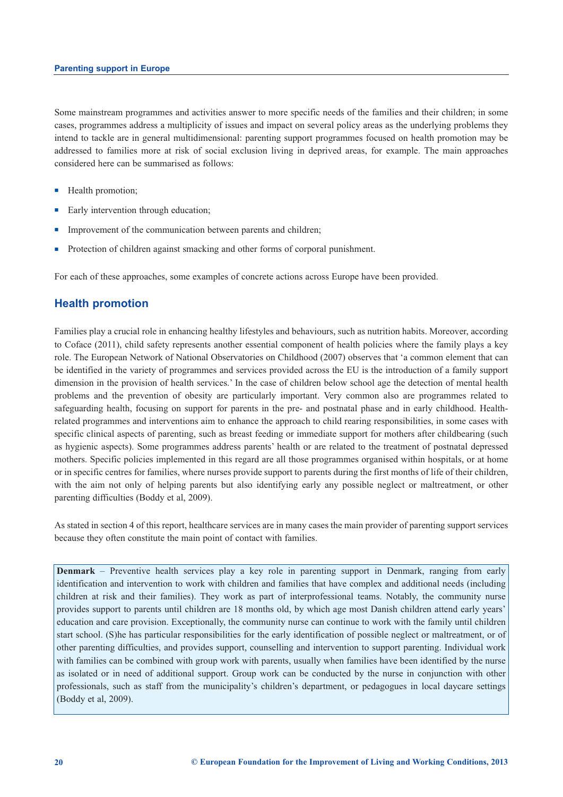Some mainstream programmes and activities answer to more specific needs of the families and their children; in some cases, programmes address a multiplicity of issues and impact on several policy areas as the underlying problems they intend to tackle are in general multidimensional: parenting support programmes focused on health promotion may be addressed to families more at risk of social exclusion living in deprived areas, for example. The main approaches considered here can be summarised as follows:

- Health promotion;
- Early intervention through education;
- **n** Improvement of the communication between parents and children;
- <sup>n</sup> Protection of children against smacking and other forms of corporal punishment.

For each of these approaches, some examples of concrete actions across Europe have been provided.

### **Health promotion**

Families play a crucial role in enhancing healthy lifestyles and behaviours, such as nutrition habits. Moreover, according to Coface (2011), child safety represents another essential component of health policies where the family plays a key role. The European Network of National Observatories on Childhood (2007) observes that 'a common element that can be identified in the variety of programmes and services provided across the EU is the introduction of a family support dimension in the provision of health services.' In the case of children below school age the detection of mental health problems and the prevention of obesity are particularly important. Very common also are programmes related to safeguarding health, focusing on support for parents in the pre- and postnatal phase and in early childhood. Healthrelated programmes and interventions aim to enhance the approach to child rearing responsibilities, in some cases with specific clinical aspects of parenting, such as breast feeding or immediate support for mothers after childbearing (such as hygienic aspects). Some programmes address parents' health or are related to the treatment of postnatal depressed mothers. Specific policies implemented in this regard are all those programmes organised within hospitals, or at home or in specific centres for families, where nurses provide support to parents during the first months of life of their children, with the aim not only of helping parents but also identifying early any possible neglect or maltreatment, or other parenting difficulties (Boddy et al, 2009).

As stated in section 4 of this report, healthcare services are in many cases the main provider of parenting support services because they often constitute the main point of contact with families.

**Denmark** – Preventive health services play a key role in parenting support in Denmark, ranging from early identification and intervention to work with children and families that have complex and additional needs (including children at risk and their families). They work as part of interprofessional teams. Notably, the community nurse provides support to parents until children are 18 months old, by which age most Danish children attend early years' education and care provision. Exceptionally, the community nurse can continue to work with the family until children start school. (S)he has particular responsibilities for the early identification of possible neglect or maltreatment, or of other parenting difficulties, and provides support, counselling and intervention to support parenting. Individual work with families can be combined with group work with parents, usually when families have been identified by the nurse as isolated or in need of additional support. Group work can be conducted by the nurse in conjunction with other professionals, such as staff from the municipality's children's department, or pedagogues in local daycare settings (Boddy et al, 2009).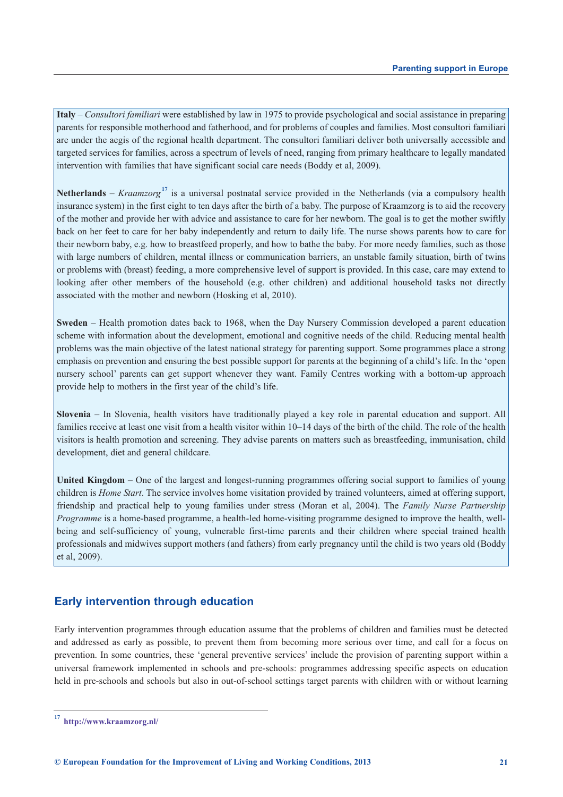**Italy** – *Consultori familiari* were established by law in 1975 to provide psychological and social assistance in preparing parents for responsible motherhood and fatherhood, and for problems of couples and families. Most consultori familiari are under the aegis of the regional health department. The consultori familiari deliver both universally accessible and targeted services for families, across a spectrum of levels of need, ranging from primary healthcare to legally mandated intervention with families that have significant social care needs (Boddy et al, 2009).

**Netherlands** – *Kraamzorg***<sup>17</sup>** is a universal postnatal service provided in the Netherlands (via a compulsory health insurance system) in the first eight to ten days after the birth of a baby. The purpose of Kraamzorg is to aid the recovery of the mother and provide her with advice and assistance to care for her newborn. The goal is to get the mother swiftly back on her feet to care for her baby independently and return to daily life. The nurse shows parents how to care for their newborn baby, e.g. how to breastfeed properly, and how to bathe the baby. For more needy families, such as those with large numbers of children, mental illness or communication barriers, an unstable family situation, birth of twins or problems with (breast) feeding, a more comprehensive level of support is provided. In this case, care may extend to looking after other members of the household (e.g. other children) and additional household tasks not directly associated with the mother and newborn (Hosking et al, 2010).

**Sweden** – Health promotion dates back to 1968, when the Day Nursery Commission developed a parent education scheme with information about the development, emotional and cognitive needs of the child. Reducing mental health problems was the main objective of the latest national strategy for parenting support. Some programmes place a strong emphasis on prevention and ensuring the best possible support for parents at the beginning of a child's life. In the 'open nursery school' parents can get support whenever they want. Family Centres working with a bottom-up approach provide help to mothers in the first year of the child's life.

**Slovenia** – In Slovenia, health visitors have traditionally played a key role in parental education and support. All families receive at least one visit from a health visitor within 10–14 days of the birth of the child. The role of the health visitors is health promotion and screening. They advise parents on matters such as breastfeeding, immunisation, child development, diet and general childcare.

**United Kingdom** – One of the largest and longest-running programmes offering social support to families of young children is *Home Start*. The service involves home visitation provided by trained volunteers, aimed at offering support, friendship and practical help to young families under stress (Moran et al, 2004). The *Family Nurse Partnership Programme* is a home-based programme, a health-led home-visiting programme designed to improve the health, wellbeing and self-sufficiency of young, vulnerable first-time parents and their children where special trained health professionals and midwives support mothers (and fathers) from early pregnancy until the child is two years old (Boddy et al, 2009).

### **Early intervention through education**

Early intervention programmes through education assume that the problems of children and families must be detected and addressed as early as possible, to prevent them from becoming more serious over time, and call for a focus on prevention. In some countries, these 'general preventive services' include the provision of parenting support within a universal framework implemented in schools and pre-schools: programmes addressing specific aspects on education held in pre-schools and schools but also in out-of-school settings target parents with children with or without learning

**<sup>17</sup> <http://www.kraamzorg.nl/>**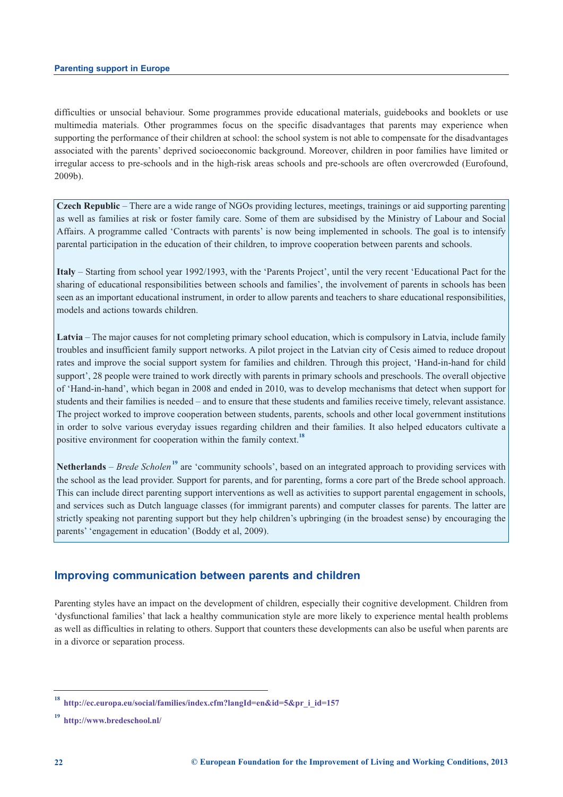difficulties or unsocial behaviour. Some programmes provide educational materials, guidebooks and booklets or use multimedia materials. Other programmes focus on the specific disadvantages that parents may experience when supporting the performance of their children at school: the school system is not able to compensate for the disadvantages associated with the parents' deprived socioeconomic background. Moreover, children in poor families have limited or irregular access to pre-schools and in the high-risk areas schools and pre-schools are often overcrowded (Eurofound, 2009b).

**Czech Republic** – There are a wide range of NGOs providing lectures, meetings, trainings or aid supporting parenting as well as families at risk or foster family care. Some of them are subsidised by the Ministry of Labour and Social Affairs. A programme called 'Contracts with parents' is now being implemented in schools. The goal is to intensify parental participation in the education of their children, to improve cooperation between parents and schools.

**Italy** – Starting from school year 1992/1993, with the 'Parents Project', until the very recent 'Educational Pact for the sharing of educational responsibilities between schools and families', the involvement of parents in schools has been seen as an important educational instrument, in order to allow parents and teachers to share educational responsibilities, models and actions towards children.

**Latvia** – The major causes for not completing primary school education, which is compulsory in Latvia, include family troubles and insufficient family support networks. A pilot project in the Latvian city of Cesis aimed to reduce dropout rates and improve the social support system for families and children. Through this project, 'Hand-in-hand for child support', 28 people were trained to work directly with parents in primary schools and preschools. The overall objective of 'Hand-in-hand', which began in 2008 and ended in 2010, was to develop mechanisms that detect when support for students and their families is needed – and to ensure that these students and families receive timely, relevant assistance. The project worked to improve cooperation between students, parents, schools and other local government institutions in order to solve various everyday issues regarding children and their families. It also helped educators cultivate a positive environment for cooperation within the family context.**<sup>18</sup>**

**Netherlands** – *Brede Scholen***<sup>19</sup>** are 'community schools', based on an integrated approach to providing services with the school as the lead provider. Support for parents, and for parenting, forms a core part of the Brede school approach. This can include direct parenting support interventions as well as activities to support parental engagement in schools, and services such as Dutch language classes (for immigrant parents) and computer classes for parents. The latter are strictly speaking not parenting support but they help children's upbringing (in the broadest sense) by encouraging the parents' 'engagement in education' (Boddy et al, 2009).

### **Improving communication between parents and children**

Parenting styles have an impact on the development of children, especially their cognitive development. Children from 'dysfunctional families' that lack a healthy communication style are more likely to experience mental health problems as well as difficulties in relating to others. Support that counters these developments can also be useful when parents are in a divorce or separation process.

**<sup>18</sup> [http://ec.europa.eu/social/families/index.cfm?langId=en&id=5&pr\\_i\\_id=157](http://ec.europa.eu/social/families/index.cfm?langId=en&id=5&pr_i_id=157)**

**<sup>19</sup> <http://www.bredeschool.nl/>**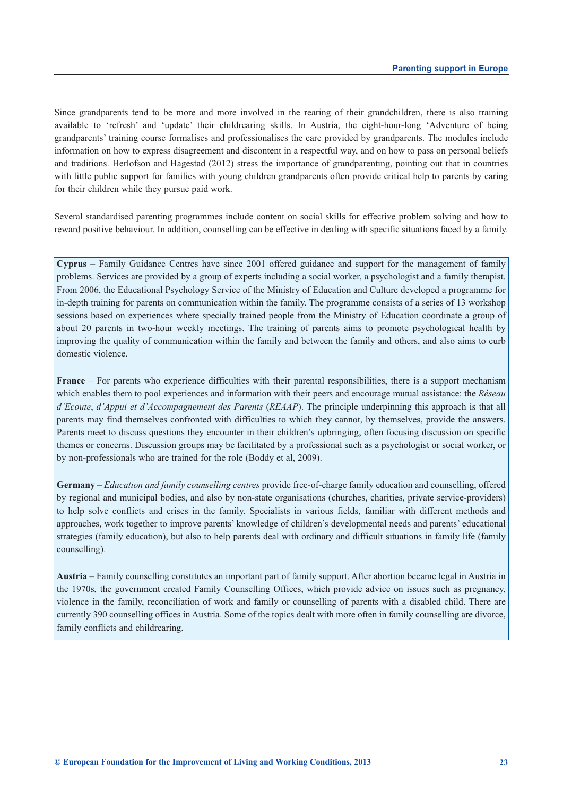Since grandparents tend to be more and more involved in the rearing of their grandchildren, there is also training available to 'refresh' and 'update' their childrearing skills. In Austria, the eight-hour-long 'Adventure of being grandparents' training course formalises and professionalises the care provided by grandparents. The modules include information on how to express disagreement and discontent in a respectful way, and on how to pass on personal beliefs and traditions. Herlofson and Hagestad (2012) stress the importance of grandparenting, pointing out that in countries with little public support for families with young children grandparents often provide critical help to parents by caring for their children while they pursue paid work.

Several standardised parenting programmes include content on social skills for effective problem solving and how to reward positive behaviour. In addition, counselling can be effective in dealing with specific situations faced by a family.

**Cyprus** – Family Guidance Centres have since 2001 offered guidance and support for the management of family problems. Services are provided by a group of experts including a social worker, a psychologist and a family therapist. From 2006, the Educational Psychology Service of the Ministry of Education and Culture developed a programme for in-depth training for parents on communication within the family. The programme consists of a series of 13 workshop sessions based on experiences where specially trained people from the Ministry of Education coordinate a group of about 20 parents in two-hour weekly meetings. The training of parents aims to promote psychological health by improving the quality of communication within the family and between the family and others, and also aims to curb domestic violence.

**France** – For parents who experience difficulties with their parental responsibilities, there is a support mechanism which enables them to pool experiences and information with their peers and encourage mutual assistance: the *Réseau d'Ecoute*, *d'Appui et d'Accompagnement des Parents* (*REAAP*). The principle underpinning this approach is that all parents may find themselves confronted with difficulties to which they cannot, by themselves, provide the answers. Parents meet to discuss questions they encounter in their children's upbringing, often focusing discussion on specific themes or concerns. Discussion groups may be facilitated by a professional such as a psychologist or social worker, or by non-professionals who are trained for the role (Boddy et al, 2009).

**Germany** – *Education and family counselling centres* provide free-of-charge family education and counselling, offered by regional and municipal bodies, and also by non-state organisations (churches, charities, private service-providers) to help solve conflicts and crises in the family. Specialists in various fields, familiar with different methods and approaches, work together to improve parents' knowledge of children's developmental needs and parents' educational strategies (family education), but also to help parents deal with ordinary and difficult situations in family life (family counselling).

**Austria** – Family counselling constitutes an important part of family support. After abortion became legal in Austria in the 1970s, the government created Family Counselling Offices, which provide advice on issues such as pregnancy, violence in the family, reconciliation of work and family or counselling of parents with a disabled child. There are currently 390 counselling offices in Austria. Some of the topics dealt with more often in family counselling are divorce, family conflicts and childrearing.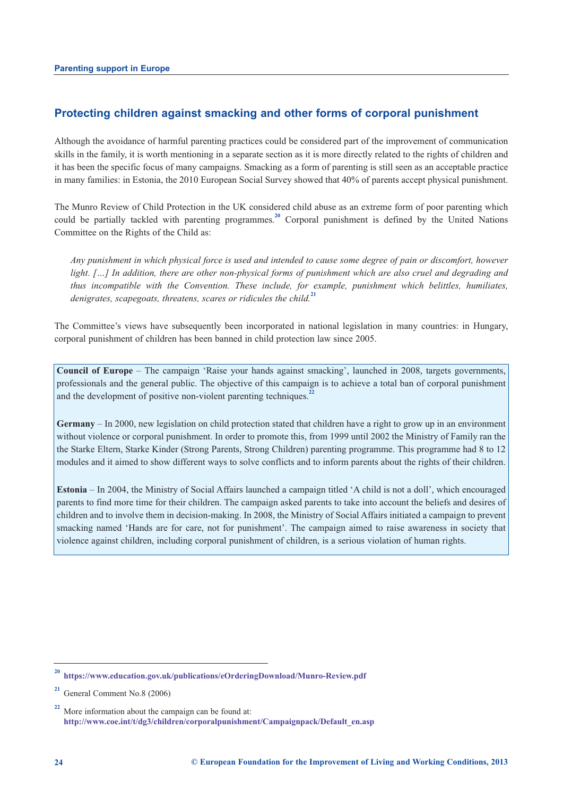### **Protecting children against smacking and other forms of corporal punishment**

Although the avoidance of harmful parenting practices could be considered part of the improvement of communication skills in the family, it is worth mentioning in a separate section as it is more directly related to the rights of children and it has been the specific focus of many campaigns. Smacking as a form of parenting is still seen as an acceptable practice in many families: in Estonia, the 2010 European Social Survey showed that 40% of parents accept physical punishment.

The Munro Review of Child Protection in the UK considered child abuse as an extreme form of poor parenting which could be partially tackled with parenting programmes.**<sup>20</sup>** Corporal punishment is defined by the United Nations Committee on the Rights of the Child as:

*Any punishment in which physical force is used and intended to cause some degree of pain or discomfort, however light. […] In addition, there are other non-physical forms of punishment which are also cruel and degrading and thus incompatible with the Convention. These include, for example, punishment which belittles, humiliates, denigrates, scapegoats, threatens, scares or ridicules the child.***<sup>21</sup>**

The Committee's views have subsequently been incorporated in national legislation in many countries: in Hungary, corporal punishment of children has been banned in child protection law since 2005.

**Council of Europe** – The campaign 'Raise your hands against smacking', launched in 2008, targets governments, professionals and the general public. The objective of this campaign is to achieve a total ban of corporal punishment and the development of positive non-violent parenting techniques.<sup>2</sup>

**Germany** – In 2000, new legislation on child protection stated that children have a right to grow up in an environment without violence or corporal punishment. In order to promote this, from 1999 until 2002 the Ministry of Family ran the the Starke Eltern, Starke Kinder (Strong Parents, Strong Children) parenting programme. This programme had 8 to 12 modules and it aimed to show different ways to solve conflicts and to inform parents about the rights of their children.

**Estonia** – In 2004, the Ministry of Social Affairs launched a campaign titled 'A child is not a doll', which encouraged parents to find more time for their children. The campaign asked parents to take into account the beliefs and desires of children and to involve them in decision-making. In 2008, the Ministry of Social Affairs initiated a campaign to prevent smacking named 'Hands are for care, not for punishment'. The campaign aimed to raise awareness in society that violence against children, including corporal punishment of children, is a serious violation of human rights.

**<sup>20</sup> <https://www.education.gov.uk/publications/eOrderingDownload/Munro-Review.pdf>**

**<sup>21</sup>** General Comment No.8 (2006)

**<sup>22</sup>** More information about the campaign can be found at: **[http://www.coe.int/t/dg3/children/corporalpunishment/Campaignpack/Default\\_en.asp](http://www.coe.int/t/dg3/children/corporalpunishment/Campaignpack/Default_en.asp)**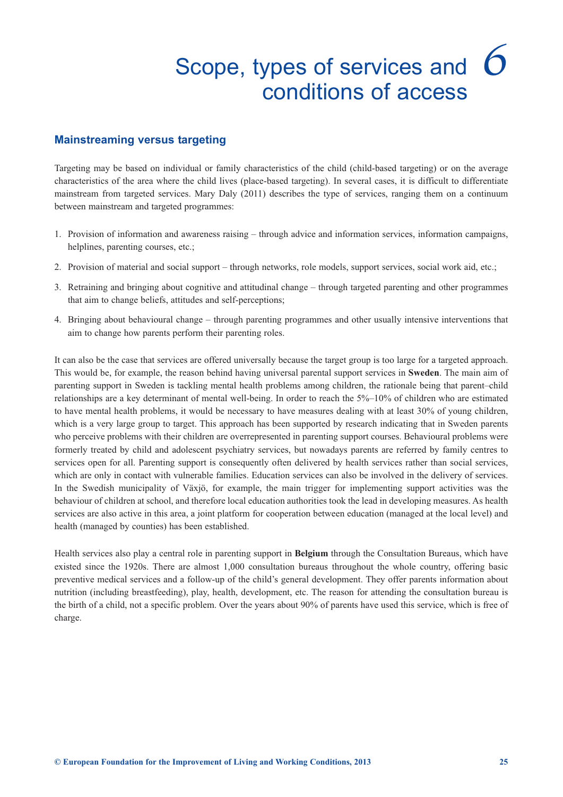## Scope, types of services and *6*conditions of access

### <span id="page-28-0"></span>**Mainstreaming versus targeting**

Targeting may be based on individual or family characteristics of the child (child-based targeting) or on the average characteristics of the area where the child lives (place-based targeting). In several cases, it is difficult to differentiate mainstream from targeted services. Mary Daly (2011) describes the type of services, ranging them on a continuum between mainstream and targeted programmes:

- 1. Provision of information and awareness raising through advice and information services, information campaigns, helplines, parenting courses, etc.;
- 2. Provision of material and social support through networks, role models, support services, social work aid, etc.;
- 3. Retraining and bringing about cognitive and attitudinal change through targeted parenting and other programmes that aim to change beliefs, attitudes and self-perceptions;
- 4. Bringing about behavioural change through parenting programmes and other usually intensive interventions that aim to change how parents perform their parenting roles.

It can also be the case that services are offered universally because the target group is too large for a targeted approach. This would be, for example, the reason behind having universal parental support services in **Sweden**. The main aim of parenting support in Sweden is tackling mental health problems among children, the rationale being that parent–child relationships are a key determinant of mental well-being. In order to reach the 5%–10% of children who are estimated to have mental health problems, it would be necessary to have measures dealing with at least 30% of young children, which is a very large group to target. This approach has been supported by research indicating that in Sweden parents who perceive problems with their children are overrepresented in parenting support courses. Behavioural problems were formerly treated by child and adolescent psychiatry services, but nowadays parents are referred by family centres to services open for all. Parenting support is consequently often delivered by health services rather than social services, which are only in contact with vulnerable families. Education services can also be involved in the delivery of services. In the Swedish municipality of Växjö, for example, the main trigger for implementing support activities was the behaviour of children at school, and therefore local education authorities took the lead in developing measures. As health services are also active in this area, a joint platform for cooperation between education (managed at the local level) and health (managed by counties) has been established.

Health services also play a central role in parenting support in **Belgium** through the Consultation Bureaus, which have existed since the 1920s. There are almost 1,000 consultation bureaus throughout the whole country, offering basic preventive medical services and a follow-up of the child's general development. They offer parents information about nutrition (including breastfeeding), play, health, development, etc. The reason for attending the consultation bureau is the birth of a child, not a specific problem. Over the years about 90% of parents have used this service, which is free of charge.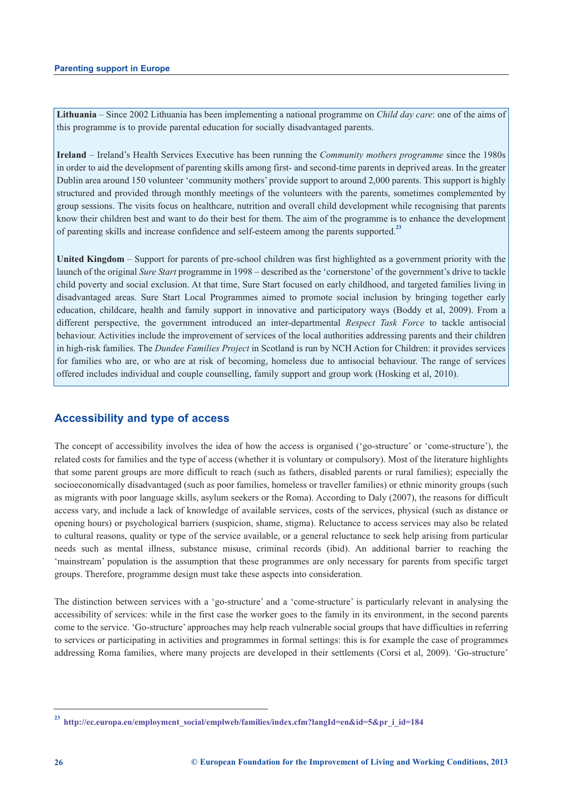**Lithuania** – Since 2002 Lithuania has been implementing a national programme on *Child day care*: one of the aims of this programme is to provide parental education for socially disadvantaged parents.

**Ireland** – Ireland's Health Services Executive has been running the *Community mothers programme* since the 1980s in order to aid the development of parenting skills among first- and second-time parents in deprived areas. In the greater Dublin area around 150 volunteer 'community mothers' provide support to around 2,000 parents. This support is highly structured and provided through monthly meetings of the volunteers with the parents, sometimes complemented by group sessions. The visits focus on healthcare, nutrition and overall child development while recognising that parents know their children best and want to do their best for them. The aim of the programme is to enhance the development of parenting skills and increase confidence and self-esteem among the parents supported.**<sup>23</sup>**

**United Kingdom** – Support for parents of pre-school children was first highlighted as a government priority with the launch of the original *Sure Start* programme in 1998 – described as the 'cornerstone' of the government's drive to tackle child poverty and social exclusion. At that time, Sure Start focused on early childhood, and targeted families living in disadvantaged areas. Sure Start Local Programmes aimed to promote social inclusion by bringing together early education, childcare, health and family support in innovative and participatory ways (Boddy et al, 2009). From a different perspective, the government introduced an inter-departmental *Respect Task Force* to tackle antisocial behaviour. Activities include the improvement of services of the local authorities addressing parents and their children in high-risk families. The *Dundee Families Project* in Scotland is run by NCH Action for Children: it provides services for families who are, or who are at risk of becoming, homeless due to antisocial behaviour. The range of services offered includes individual and couple counselling, family support and group work (Hosking et al, 2010).

### **Accessibility and type of access**

The concept of accessibility involves the idea of how the access is organised ('go-structure' or 'come-structure'), the related costs for families and the type of access (whether it is voluntary or compulsory). Most of the literature highlights that some parent groups are more difficult to reach (such as fathers, disabled parents or rural families); especially the socioeconomically disadvantaged (such as poor families, homeless or traveller families) or ethnic minority groups (such as migrants with poor language skills, asylum seekers or the Roma). According to Daly (2007), the reasons for difficult access vary, and include a lack of knowledge of available services, costs of the services, physical (such as distance or opening hours) or psychological barriers (suspicion, shame, stigma). Reluctance to access services may also be related to cultural reasons, quality or type of the service available, or a general reluctance to seek help arising from particular needs such as mental illness, substance misuse, criminal records (ibid). An additional barrier to reaching the 'mainstream' population is the assumption that these programmes are only necessary for parents from specific target groups. Therefore, programme design must take these aspects into consideration.

The distinction between services with a 'go-structure' and a 'come-structure' is particularly relevant in analysing the accessibility of services: while in the first case the worker goes to the family in its environment, in the second parents come to the service. 'Go-structure' approaches may help reach vulnerable social groups that have difficulties in referring to services or participating in activities and programmes in formal settings: this is for example the case of programmes addressing Roma families, where many projects are developed in their settlements (Corsi et al, 2009). 'Go-structure'

**<sup>23</sup> [http://ec.europa.eu/employment\\_social/emplweb/families/index.cfm?langId=en&id=5&pr\\_i\\_id=184](http://ec.europa.eu/employment_social/emplweb/families/index.cfm?langId=en&id=5&pr_i_id=184)**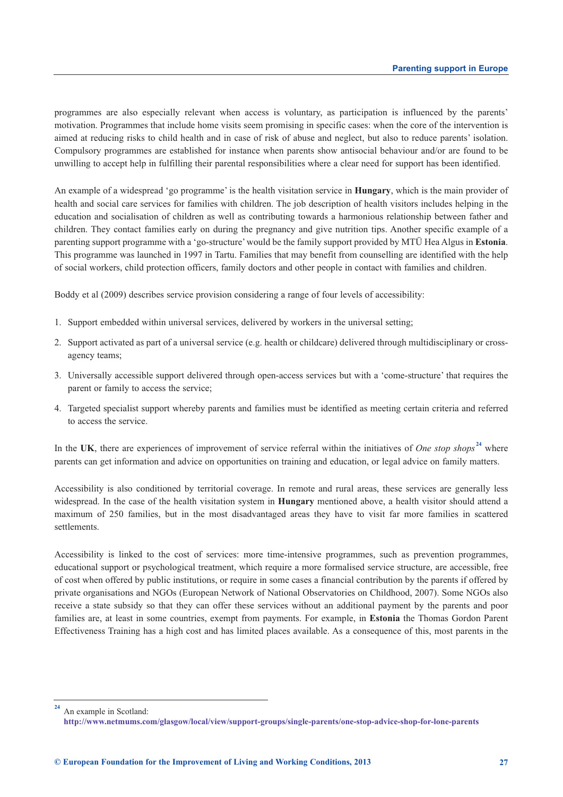programmes are also especially relevant when access is voluntary, as participation is influenced by the parents' motivation. Programmes that include home visits seem promising in specific cases: when the core of the intervention is aimed at reducing risks to child health and in case of risk of abuse and neglect, but also to reduce parents' isolation. Compulsory programmes are established for instance when parents show antisocial behaviour and/or are found to be unwilling to accept help in fulfilling their parental responsibilities where a clear need for support has been identified.

An example of a widespread 'go programme' is the health visitation service in **Hungary**, which is the main provider of health and social care services for families with children. The job description of health visitors includes helping in the education and socialisation of children as well as contributing towards a harmonious relationship between father and children. They contact families early on during the pregnancy and give nutrition tips. Another specific example of a parenting support programme with a 'go-structure' would be the family support provided by MTÜ Hea Algus in **Estonia**. This programme was launched in 1997 in Tartu. Families that may benefit from counselling are identified with the help of social workers, child protection officers, family doctors and other people in contact with families and children.

Boddy et al (2009) describes service provision considering a range of four levels of accessibility:

- 1. Support embedded within universal services, delivered by workers in the universal setting;
- 2. Support activated as part of a universal service (e.g. health or childcare) delivered through multidisciplinary or crossagency teams;
- 3. Universally accessible support delivered through open-access services but with a 'come-structure' that requires the parent or family to access the service;
- 4. Targeted specialist support whereby parents and families must be identified as meeting certain criteria and referred to access the service.

In the **UK**, there are experiences of improvement of service referral within the initiatives of *One stop shops* **<sup>24</sup>** where parents can get information and advice on opportunities on training and education, or legal advice on family matters.

Accessibility is also conditioned by territorial coverage. In remote and rural areas, these services are generally less widespread. In the case of the health visitation system in **Hungary** mentioned above, a health visitor should attend a maximum of 250 families, but in the most disadvantaged areas they have to visit far more families in scattered settlements.

Accessibility is linked to the cost of services: more time-intensive programmes, such as prevention programmes, educational support or psychological treatment, which require a more formalised service structure, are accessible, free of cost when offered by public institutions, or require in some cases a financial contribution by the parents if offered by private organisations and NGOs (European Network of National Observatories on Childhood, 2007). Some NGOs also receive a state subsidy so that they can offer these services without an additional payment by the parents and poor families are, at least in some countries, exempt from payments. For example, in **Estonia** the Thomas Gordon Parent Effectiveness Training has a high cost and has limited places available. As a consequence of this, most parents in the

**<sup>24</sup>** An example in Scotland:

**<http://www.netmums.com/glasgow/local/view/support-groups/single-parents/one-stop-advice-shop-for-lone-parents>**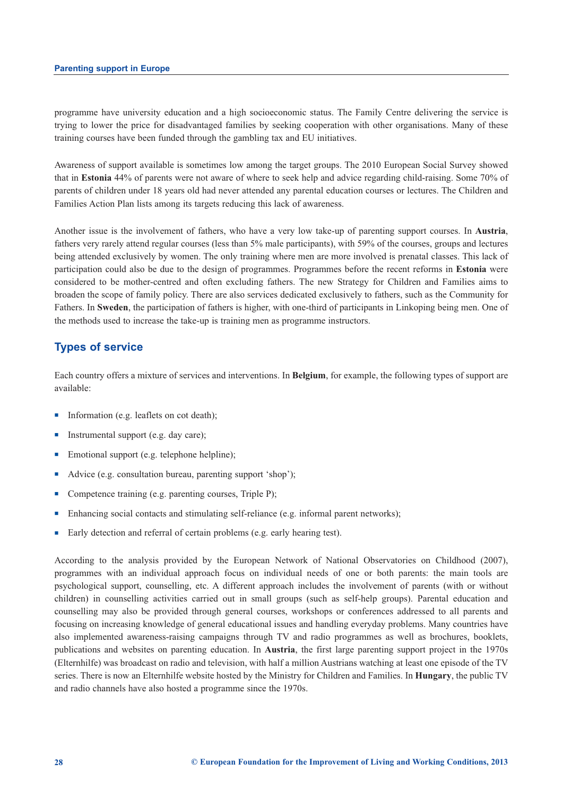programme have university education and a high socioeconomic status. The Family Centre delivering the service is trying to lower the price for disadvantaged families by seeking cooperation with other organisations. Many of these training courses have been funded through the gambling tax and EU initiatives.

Awareness of support available is sometimes low among the target groups. The 2010 European Social Survey showed that in **Estonia** 44% of parents were not aware of where to seek help and advice regarding child-raising. Some 70% of parents of children under 18 years old had never attended any parental education courses or lectures. The Children and Families Action Plan lists among its targets reducing this lack of awareness.

Another issue is the involvement of fathers, who have a very low take-up of parenting support courses. In **Austria**, fathers very rarely attend regular courses (less than 5% male participants), with 59% of the courses, groups and lectures being attended exclusively by women. The only training where men are more involved is prenatal classes. This lack of participation could also be due to the design of programmes. Programmes before the recent reforms in **Estonia** were considered to be mother-centred and often excluding fathers. The new Strategy for Children and Families aims to broaden the scope of family policy. There are also services dedicated exclusively to fathers, such as the Community for Fathers. In **Sweden**, the participation of fathers is higher, with one-third of participants in Linkoping being men. One of the methods used to increase the take-up is training men as programme instructors.

### **Types of service**

Each country offers a mixture of services and interventions. In **Belgium**, for example, the following types of support are available:

- Information (e.g. leaflets on cot death);
- **n** Instrumental support (e.g. day care);
- $\blacksquare$  Emotional support (e.g. telephone helpline);
- Advice (e.g. consultation bureau, parenting support 'shop');
- Competence training (e.g. parenting courses, Triple P);
- n Enhancing social contacts and stimulating self-reliance (e.g. informal parent networks);
- Early detection and referral of certain problems (e.g. early hearing test).

According to the analysis provided by the European Network of National Observatories on Childhood (2007), programmes with an individual approach focus on individual needs of one or both parents: the main tools are psychological support, counselling, etc. A different approach includes the involvement of parents (with or without children) in counselling activities carried out in small groups (such as self-help groups). Parental education and counselling may also be provided through general courses, workshops or conferences addressed to all parents and focusing on increasing knowledge of general educational issues and handling everyday problems. Many countries have also implemented awareness-raising campaigns through TV and radio programmes as well as brochures, booklets, publications and websites on parenting education. In **Austria**, the first large parenting support project in the 1970s (Elternhilfe) was broadcast on radio and television, with half a million Austrians watching at least one episode of the TV series. There is now an Elternhilfe website hosted by the Ministry for Children and Families. In **Hungary**, the public TV and radio channels have also hosted a programme since the 1970s.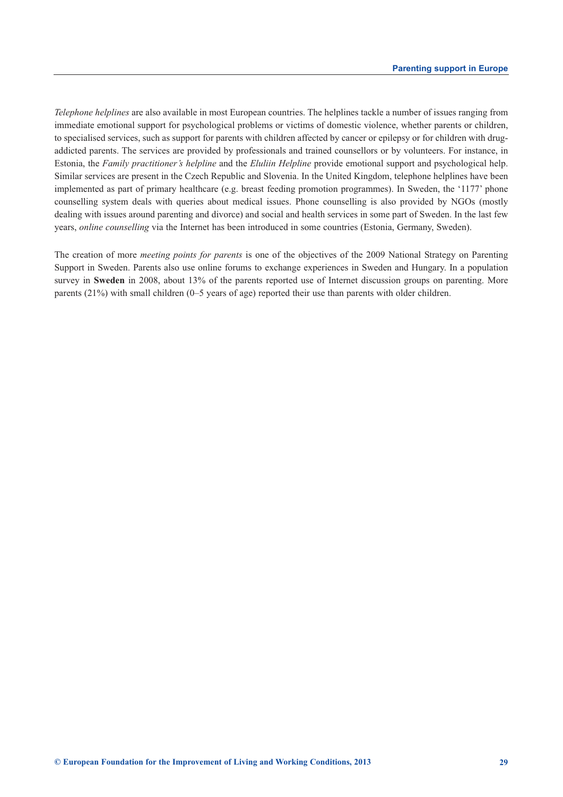*Telephone helplines* are also available in most European countries. The helplines tackle a number of issues ranging from immediate emotional support for psychological problems or victims of domestic violence, whether parents or children, to specialised services, such as support for parents with children affected by cancer or epilepsy or for children with drugaddicted parents. The services are provided by professionals and trained counsellors or by volunteers. For instance, in Estonia, the *Family practitioner's helpline* and the *Eluliin Helpline* provide emotional support and psychological help. Similar services are present in the Czech Republic and Slovenia. In the United Kingdom, telephone helplines have been implemented as part of primary healthcare (e.g. breast feeding promotion programmes). In Sweden, the '1177' phone counselling system deals with queries about medical issues. Phone counselling is also provided by NGOs (mostly dealing with issues around parenting and divorce) and social and health services in some part of Sweden. In the last few years, *online counselling* via the Internet has been introduced in some countries (Estonia, Germany, Sweden).

The creation of more *meeting points for parents* is one of the objectives of the 2009 National Strategy on Parenting Support in Sweden. Parents also use online forums to exchange experiences in Sweden and Hungary. In a population survey in **Sweden** in 2008, about 13% of the parents reported use of Internet discussion groups on parenting. More parents (21%) with small children (0–5 years of age) reported their use than parents with older children.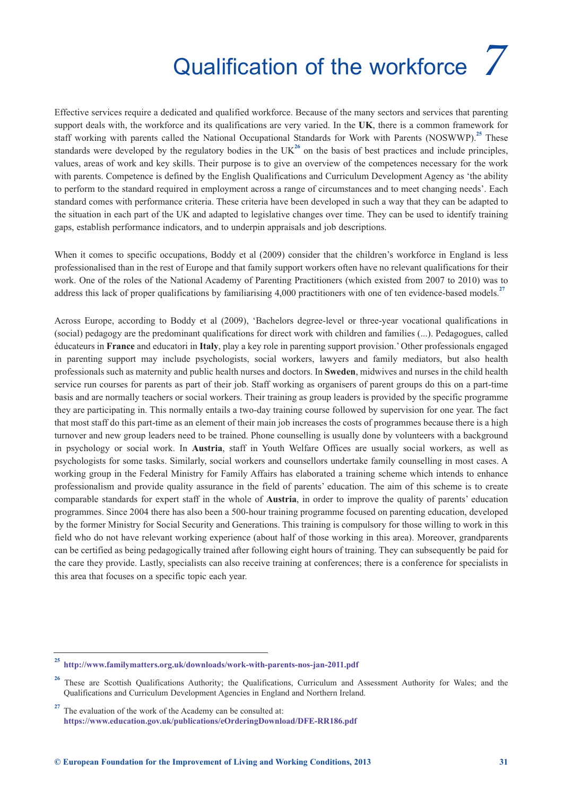## Qualification of the workforce *7*

<span id="page-34-0"></span>Effective services require a dedicated and qualified workforce. Because of the many sectors and services that parenting support deals with, the workforce and its qualifications are very varied. In the **UK**, there is a common framework for staff working with parents called the National Occupational Standards for Work with Parents (NOSWWP).**<sup>25</sup>** These standards were developed by the regulatory bodies in the  $UK<sup>26</sup>$  on the basis of best practices and include principles, values, areas of work and key skills. Their purpose is to give an overview of the competences necessary for the work with parents. Competence is defined by the English Qualifications and Curriculum Development Agency as 'the ability to perform to the standard required in employment across a range of circumstances and to meet changing needs'. Each standard comes with performance criteria. These criteria have been developed in such a way that they can be adapted to the situation in each part of the UK and adapted to legislative changes over time. They can be used to identify training gaps, establish performance indicators, and to underpin appraisals and job descriptions.

When it comes to specific occupations. Boddy et al (2009) consider that the children's workforce in England is less professionalised than in the rest of Europe and that family support workers often have no relevant qualifications for their work. One of the roles of the National Academy of Parenting Practitioners (which existed from 2007 to 2010) was to address this lack of proper qualifications by familiarising 4,000 practitioners with one of ten evidence-based models.**<sup>27</sup>**

Across Europe, according to Boddy et al (2009), 'Bachelors degree-level or three-year vocational qualifications in (social) pedagogy are the predominant qualifications for direct work with children and families (...). Pedagogues, called éducateurs in **France** and educatori in **Italy**, play a key role in parenting support provision.' Other professionals engaged in parenting support may include psychologists, social workers, lawyers and family mediators, but also health professionals such as maternity and public health nurses and doctors. In **Sweden**, midwives and nurses in the child health service run courses for parents as part of their job. Staff working as organisers of parent groups do this on a part-time basis and are normally teachers or social workers. Their training as group leaders is provided by the specific programme they are participating in. This normally entails a two-day training course followed by supervision for one year. The fact that most staff do this part-time as an element of their main job increases the costs of programmes because there is a high turnover and new group leaders need to be trained. Phone counselling is usually done by volunteers with a background in psychology or social work. In **Austria**, staff in Youth Welfare Offices are usually social workers, as well as psychologists for some tasks. Similarly, social workers and counsellors undertake family counselling in most cases. A working group in the Federal Ministry for Family Affairs has elaborated a training scheme which intends to enhance professionalism and provide quality assurance in the field of parents' education. The aim of this scheme is to create comparable standards for expert staff in the whole of **Austria**, in order to improve the quality of parents' education programmes. Since 2004 there has also been a 500-hour training programme focused on parenting education, developed by the former Ministry for Social Security and Generations. This training is compulsory for those willing to work in this field who do not have relevant working experience (about half of those working in this area). Moreover, grandparents can be certified as being pedagogically trained after following eight hours of training. They can subsequently be paid for the care they provide. Lastly, specialists can also receive training at conferences; there is a conference for specialists in this area that focuses on a specific topic each year.

**<sup>25</sup> <http://www.familymatters.org.uk/downloads/work-with-parents-nos-jan-2011.pdf>**

<sup>&</sup>lt;sup>26</sup> These are Scottish Qualifications Authority; the Qualifications, Curriculum and Assessment Authority for Wales; and the Qualifications and Curriculum Development Agencies in England and Northern Ireland.

<sup>&</sup>lt;sup>27</sup> The evaluation of the work of the Academy can be consulted at: **<https://www.education.gov.uk/publications/eOrderingDownload/DFE-RR186.pdf>**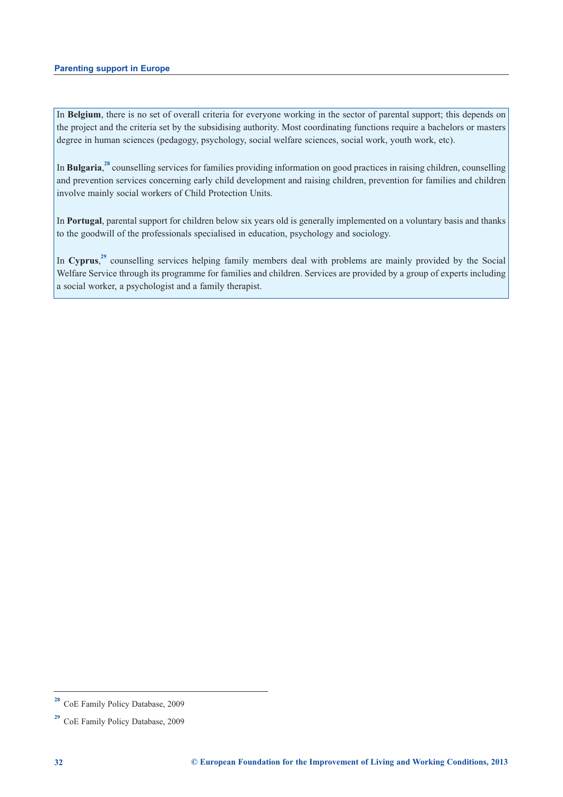In **Belgium**, there is no set of overall criteria for everyone working in the sector of parental support; this depends on the project and the criteria set by the subsidising authority. Most coordinating functions require a bachelors or masters degree in human sciences (pedagogy, psychology, social welfare sciences, social work, youth work, etc).

In **Bulgaria**,<sup>28</sup> counselling services for families providing information on good practices in raising children, counselling and prevention services concerning early child development and raising children, prevention for families and children involve mainly social workers of Child Protection Units.

In **Portugal**, parental support for children below six years old is generally implemented on a voluntary basis and thanks to the goodwill of the professionals specialised in education, psychology and sociology.

In Cyprus,<sup>29</sup> counselling services helping family members deal with problems are mainly provided by the Social Welfare Service through its programme for families and children. Services are provided by a group of experts including a social worker, a psychologist and a family therapist.

**<sup>28</sup>** CoE Family Policy Database, 2009

**<sup>29</sup>** CoE Family Policy Database, 2009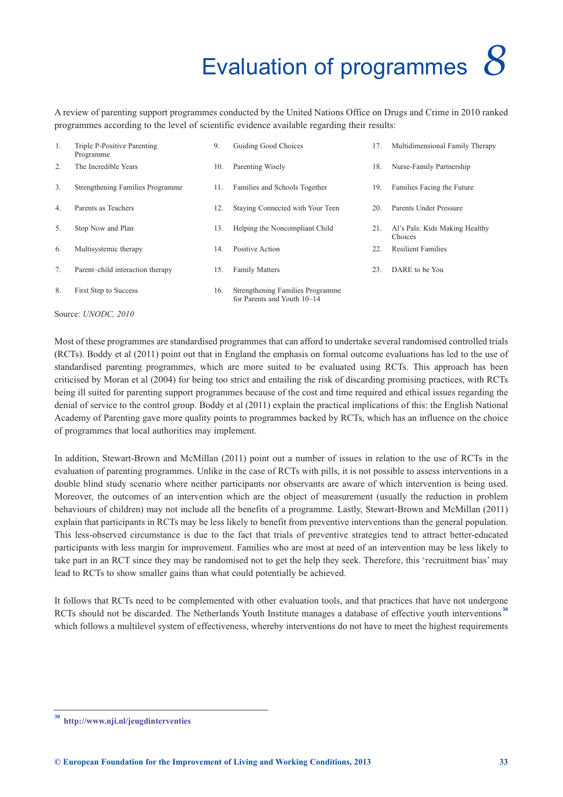### Evaluation of programmes *8*

<span id="page-36-0"></span>A review of parenting support programmes conducted by the United Nations Office on Drugs and Crime in 2010 ranked programmes according to the level of scientific evidence available regarding their results:

| 1. | Triple P-Positive Parenting<br>Programme | 9.  | Guiding Good Choices                                            | 17. | Multidimensional Family Therapy           |
|----|------------------------------------------|-----|-----------------------------------------------------------------|-----|-------------------------------------------|
| 2. | The Incredible Years                     | 10. | Parenting Wisely                                                | 18. | Nurse-Family Partnership                  |
| 3. | Strengthening Families Programme         | 11. | Families and Schools Together                                   | 19. | Families Facing the Future                |
| 4. | Parents as Teachers                      | 12. | Staying Connected with Your Teen                                | 20. | Parents Under Pressure                    |
| 5. | Stop Now and Plan                        | 13. | Helping the Noncompliant Child                                  | 21. | Al's Pals: Kids Making Healthy<br>Choices |
| 6. | Multisystemic therapy                    | 14. | Positive Action                                                 | 22. | <b>Resilient Families</b>                 |
| 7. | Parent-child interaction therapy         | 15. | <b>Family Matters</b>                                           | 23. | DARE to be You                            |
| 8. | First Step to Success                    | 16. | Strengthening Families Programme<br>for Parents and Youth 10–14 |     |                                           |

Source: *UNODC, 2010*

Most of these programmes are standardised programmes that can afford to undertake several randomised controlled trials (RCTs). Boddy et al (2011) point out that in England the emphasis on formal outcome evaluations has led to the use of standardised parenting programmes, which are more suited to be evaluated using RCTs. This approach has been criticised by Moran et al (2004) for being too strict and entailing the risk of discarding promising practices, with RCTs being ill suited for parenting support programmes because of the cost and time required and ethical issues regarding the denial of service to the control group. Boddy et al (2011) explain the practical implications of this: the English National Academy of Parenting gave more quality points to programmes backed by RCTs, which has an influence on the choice of programmes that local authorities may implement.

In addition, Stewart-Brown and McMillan (2011) point out a number of issues in relation to the use of RCTs in the evaluation of parenting programmes. Unlike in the case of RCTs with pills, it is not possible to assess interventions in a double blind study scenario where neither participants nor observants are aware of which intervention is being used. Moreover, the outcomes of an intervention which are the object of measurement (usually the reduction in problem behaviours of children) may not include all the benefits of a programme. Lastly, Stewart-Brown and McMillan (2011) explain that participants in RCTs may be less likely to benefit from preventive interventions than the general population. This less-observed circumstance is due to the fact that trials of preventive strategies tend to attract better-educated participants with less margin for improvement. Families who are most at need of an intervention may be less likely to take part in an RCT since they may be randomised not to get the help they seek. Therefore, this 'recruitment bias' may lead to RCTs to show smaller gains than what could potentially be achieved.

It follows that RCTs need to be complemented with other evaluation tools, and that practices that have not undergone RCTs should not be discarded. The Netherlands Youth Institute manages a database of effective youth interventions<sup>30</sup> which follows a multilevel system of effectiveness, whereby interventions do not have to meet the highest requirements

**<sup>30</sup> <http://www.nji.nl/jeugdinterventies>**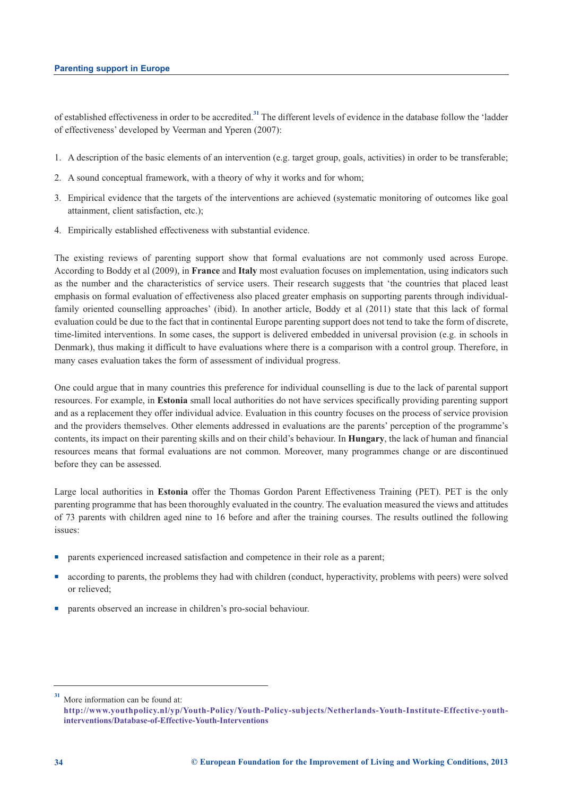of established effectiveness in order to be accredited.**<sup>31</sup>** The different levels of evidence in the database follow the 'ladder of effectiveness' developed by Veerman and Yperen (2007):

- 1. A description of the basic elements of an intervention (e.g. target group, goals, activities) in order to be transferable;
- 2. A sound conceptual framework, with a theory of why it works and for whom;
- 3. Empirical evidence that the targets of the interventions are achieved (systematic monitoring of outcomes like goal attainment, client satisfaction, etc.);
- 4. Empirically established effectiveness with substantial evidence.

The existing reviews of parenting support show that formal evaluations are not commonly used across Europe. According to Boddy et al (2009), in **France** and **Italy** most evaluation focuses on implementation, using indicators such as the number and the characteristics of service users. Their research suggests that 'the countries that placed least emphasis on formal evaluation of effectiveness also placed greater emphasis on supporting parents through individualfamily oriented counselling approaches' (ibid). In another article, Boddy et al (2011) state that this lack of formal evaluation could be due to the fact that in continental Europe parenting support does not tend to take the form of discrete, time-limited interventions. In some cases, the support is delivered embedded in universal provision (e.g. in schools in Denmark), thus making it difficult to have evaluations where there is a comparison with a control group. Therefore, in many cases evaluation takes the form of assessment of individual progress.

One could argue that in many countries this preference for individual counselling is due to the lack of parental support resources. For example, in **Estonia** small local authorities do not have services specifically providing parenting support and as a replacement they offer individual advice. Evaluation in this country focuses on the process of service provision and the providers themselves. Other elements addressed in evaluations are the parents' perception of the programme's contents, its impact on their parenting skills and on their child's behaviour. In **Hungary**, the lack of human and financial resources means that formal evaluations are not common. Moreover, many programmes change or are discontinued before they can be assessed.

Large local authorities in **Estonia** offer the Thomas Gordon Parent Effectiveness Training (PET). PET is the only parenting programme that has been thoroughly evaluated in the country. The evaluation measured the views and attitudes of 73 parents with children aged nine to 16 before and after the training courses. The results outlined the following issues:

- n parents experienced increased satisfaction and competence in their role as a parent;
- <sup>n</sup> according to parents, the problems they had with children (conduct, hyperactivity, problems with peers) were solved or relieved;
- parents observed an increase in children's pro-social behaviour.

**<sup>31</sup>** More information can be found at:

**[http://www.youthpolicy.nl/yp/Youth-Policy/Youth-Policy-subjects/Netherlands-Youth-Institute-Effective-youth](http://www.youthpolicy.nl/yp/Youth-Policy/Youth-Policy-subjects/Netherlands-Youth-Institute-Effective-youth-interventions/Database-of-Effective-Youth-Interventions)interventions/Database-of-Effective-Youth-Interventions**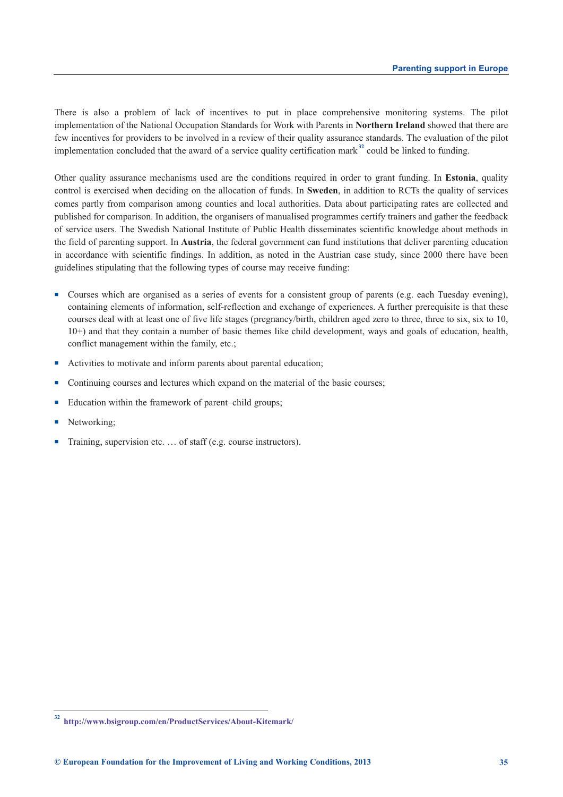There is also a problem of lack of incentives to put in place comprehensive monitoring systems. The pilot implementation of the National Occupation Standards for Work with Parents in **Northern Ireland** showed that there are few incentives for providers to be involved in a review of their quality assurance standards. The evaluation of the pilot implementation concluded that the award of a service quality certification mark<sup>32</sup> could be linked to funding.

Other quality assurance mechanisms used are the conditions required in order to grant funding. In **Estonia**, quality control is exercised when deciding on the allocation of funds. In **Sweden**, in addition to RCTs the quality of services comes partly from comparison among counties and local authorities. Data about participating rates are collected and published for comparison. In addition, the organisers of manualised programmes certify trainers and gather the feedback of service users. The Swedish National Institute of Public Health disseminates scientific knowledge about methods in the field of parenting support. In **Austria**, the federal government can fund institutions that deliver parenting education in accordance with scientific findings. In addition, as noted in the Austrian case study, since 2000 there have been guidelines stipulating that the following types of course may receive funding:

- <sup>n</sup> Courses which are organised as a series of events for a consistent group of parents (e.g. each Tuesday evening), containing elements of information, self-reflection and exchange of experiences. A further prerequisite is that these courses deal with at least one of five life stages (pregnancy/birth, children aged zero to three, three to six, six to 10, 10+) and that they contain a number of basic themes like child development, ways and goals of education, health, conflict management within the family, etc.;
- n Activities to motivate and inform parents about parental education;
- Continuing courses and lectures which expand on the material of the basic courses;
- Education within the framework of parent–child groups;
- Networking:
- Training, supervision etc. ... of staff (e.g. course instructors).

**<sup>32</sup> <http://www.bsigroup.com/en/ProductServices/About-Kitemark/>**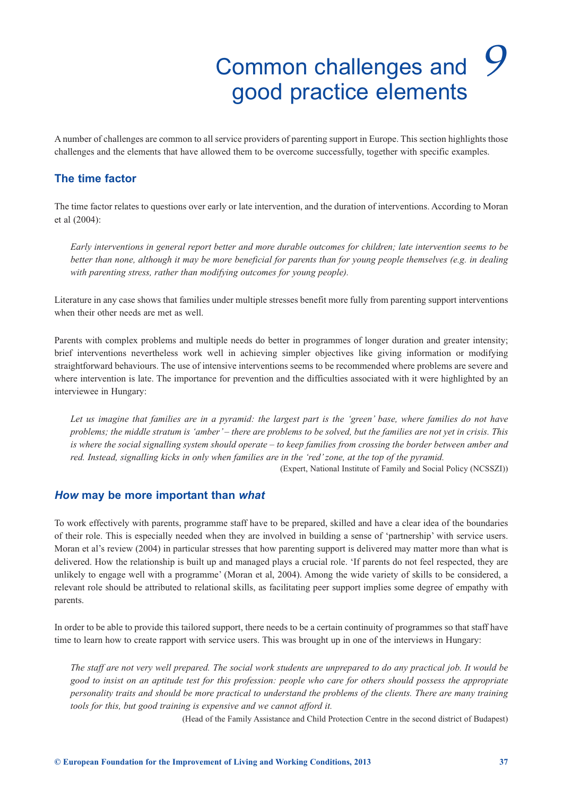## Common challenges and *9*good practice elements

<span id="page-40-0"></span>A number of challenges are common to all service providers of parenting support in Europe. This section highlights those challenges and the elements that have allowed them to be overcome successfully, together with specific examples.

### **The time factor**

The time factor relates to questions over early or late intervention, and the duration of interventions. According to Moran et al (2004):

*Early interventions in general report better and more durable outcomes for children; late intervention seems to be better than none, although it may be more beneficial for parents than for young people themselves (e.g. in dealing with parenting stress, rather than modifying outcomes for young people).*

Literature in any case shows that families under multiple stresses benefit more fully from parenting support interventions when their other needs are met as well.

Parents with complex problems and multiple needs do better in programmes of longer duration and greater intensity; brief interventions nevertheless work well in achieving simpler objectives like giving information or modifying straightforward behaviours. The use of intensive interventions seems to be recommended where problems are severe and where intervention is late. The importance for prevention and the difficulties associated with it were highlighted by an interviewee in Hungary:

*Let us imagine that families are in a pyramid: the largest part is the 'green' base, where families do not have problems; the middle stratum is 'amber' – there are problems to be solved, but the families are not yet in crisis. This is where the social signalling system should operate – to keep families from crossing the border between amber and red. Instead, signalling kicks in only when families are in the 'red' zone, at the top of the pyramid.* 

(Expert, National Institute of Family and Social Policy (NCSSZI))

### *How* **may be more important than** *what*

To work effectively with parents, programme staff have to be prepared, skilled and have a clear idea of the boundaries of their role. This is especially needed when they are involved in building a sense of 'partnership' with service users. Moran et al's review (2004) in particular stresses that how parenting support is delivered may matter more than what is delivered. How the relationship is built up and managed plays a crucial role. 'If parents do not feel respected, they are unlikely to engage well with a programme' (Moran et al, 2004). Among the wide variety of skills to be considered, a relevant role should be attributed to relational skills, as facilitating peer support implies some degree of empathy with parents.

In order to be able to provide this tailored support, there needs to be a certain continuity of programmes so that staff have time to learn how to create rapport with service users. This was brought up in one of the interviews in Hungary:

*The staff are not very well prepared. The social work students are unprepared to do any practical job. It would be good to insist on an aptitude test for this profession: people who care for others should possess the appropriate personality traits and should be more practical to understand the problems of the clients. There are many training tools for this, but good training is expensive and we cannot afford it.* 

(Head of the Family Assistance and Child Protection Centre in the second district of Budapest)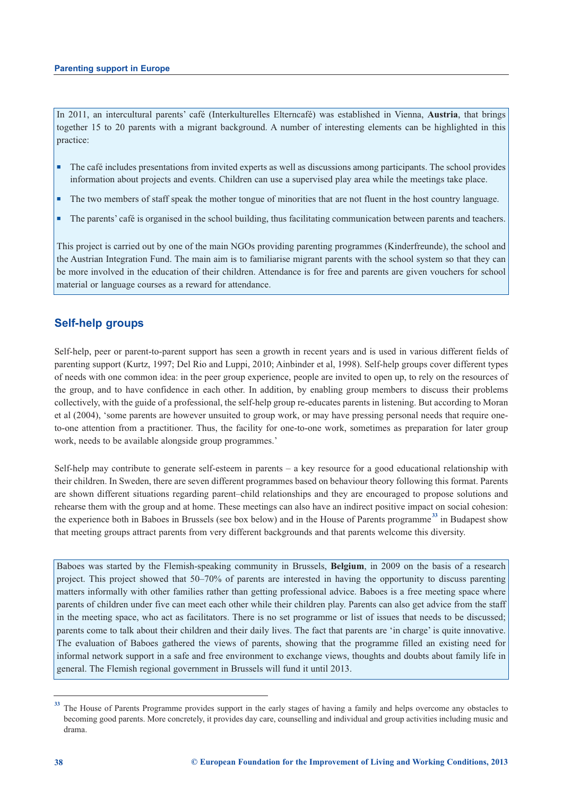In 2011, an intercultural parents' café (Interkulturelles Elterncafé) was established in Vienna, **Austria**, that brings together 15 to 20 parents with a migrant background. A number of interesting elements can be highlighted in this practice:

- <sup>n</sup> The café includes presentations from invited experts as well as discussions among participants. The school provides information about projects and events. Children can use a supervised play area while the meetings take place.
- <sup>n</sup> The two members of staff speak the mother tongue of minorities that are not fluent in the host country language.
- n The parents' café is organised in the school building, thus facilitating communication between parents and teachers.

This project is carried out by one of the main NGOs providing parenting programmes (Kinderfreunde), the school and the Austrian Integration Fund. The main aim is to familiarise migrant parents with the school system so that they can be more involved in the education of their children. Attendance is for free and parents are given vouchers for school material or language courses as a reward for attendance.

### **Self-help groups**

Self-help, peer or parent-to-parent support has seen a growth in recent years and is used in various different fields of parenting support (Kurtz, 1997; Del Rio and Luppi, 2010; Ainbinder et al, 1998). Self-help groups cover different types of needs with one common idea: in the peer group experience, people are invited to open up, to rely on the resources of the group, and to have confidence in each other. In addition, by enabling group members to discuss their problems collectively, with the guide of a professional, the self-help group re-educates parents in listening. But according to Moran et al (2004), 'some parents are however unsuited to group work, or may have pressing personal needs that require oneto-one attention from a practitioner. Thus, the facility for one-to-one work, sometimes as preparation for later group work, needs to be available alongside group programmes.'

Self-help may contribute to generate self-esteem in parents – a key resource for a good educational relationship with their children. In Sweden, there are seven different programmes based on behaviour theory following this format. Parents are shown different situations regarding parent–child relationships and they are encouraged to propose solutions and rehearse them with the group and at home. These meetings can also have an indirect positive impact on social cohesion: the experience both in Baboes in Brussels (see box below) and in the House of Parents programme **<sup>33</sup>** in Budapest show that meeting groups attract parents from very different backgrounds and that parents welcome this diversity.

Baboes was started by the Flemish-speaking community in Brussels, **Belgium**, in 2009 on the basis of a research project. This project showed that 50–70% of parents are interested in having the opportunity to discuss parenting matters informally with other families rather than getting professional advice. Baboes is a free meeting space where parents of children under five can meet each other while their children play. Parents can also get advice from the staff in the meeting space, who act as facilitators. There is no set programme or list of issues that needs to be discussed; parents come to talk about their children and their daily lives. The fact that parents are 'in charge' is quite innovative. The evaluation of Baboes gathered the views of parents, showing that the programme filled an existing need for informal network support in a safe and free environment to exchange views, thoughts and doubts about family life in general. The Flemish regional government in Brussels will fund it until 2013.

<sup>&</sup>lt;sup>33</sup> The House of Parents Programme provides support in the early stages of having a family and helps overcome any obstacles to becoming good parents. More concretely, it provides day care, counselling and individual and group activities including music and drama.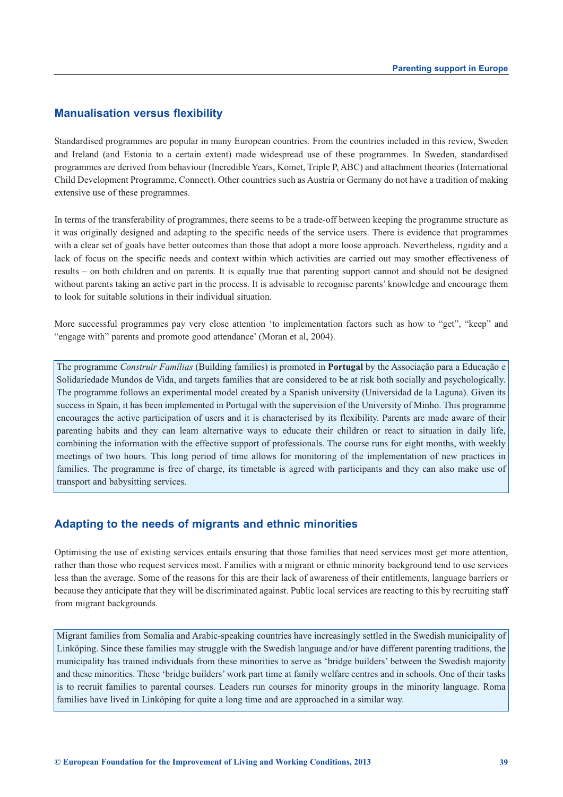### **Manualisation versus flexibility**

Standardised programmes are popular in many European countries. From the countries included in this review, Sweden and Ireland (and Estonia to a certain extent) made widespread use of these programmes. In Sweden, standardised programmes are derived from behaviour (Incredible Years, Komet, Triple P, ABC) and attachment theories (International Child Development Programme, Connect). Other countries such as Austria or Germany do not have a tradition of making extensive use of these programmes.

In terms of the transferability of programmes, there seems to be a trade-off between keeping the programme structure as it was originally designed and adapting to the specific needs of the service users. There is evidence that programmes with a clear set of goals have better outcomes than those that adopt a more loose approach. Nevertheless, rigidity and a lack of focus on the specific needs and context within which activities are carried out may smother effectiveness of results – on both children and on parents. It is equally true that parenting support cannot and should not be designed without parents taking an active part in the process. It is advisable to recognise parents' knowledge and encourage them to look for suitable solutions in their individual situation.

More successful programmes pay very close attention 'to implementation factors such as how to "get", "keep" and "engage with" parents and promote good attendance' (Moran et al, 2004).

The programme *Construir Famílias* (Building families) is promoted in **Portugal** by the Associação para a Educação e Solidariedade Mundos de Vida, and targets families that are considered to be at risk both socially and psychologically. The programme follows an experimental model created by a Spanish university (Universidad de la Laguna). Given its success in Spain, it has been implemented in Portugal with the supervision of the University of Minho. This programme encourages the active participation of users and it is characterised by its flexibility. Parents are made aware of their parenting habits and they can learn alternative ways to educate their children or react to situation in daily life, combining the information with the effective support of professionals. The course runs for eight months, with weekly meetings of two hours. This long period of time allows for monitoring of the implementation of new practices in families. The programme is free of charge, its timetable is agreed with participants and they can also make use of transport and babysitting services.

### **Adapting to the needs of migrants and ethnic minorities**

Optimising the use of existing services entails ensuring that those families that need services most get more attention, rather than those who request services most. Families with a migrant or ethnic minority background tend to use services less than the average. Some of the reasons for this are their lack of awareness of their entitlements, language barriers or because they anticipate that they will be discriminated against. Public local services are reacting to this by recruiting staff from migrant backgrounds.

Migrant families from Somalia and Arabic-speaking countries have increasingly settled in the Swedish municipality of Linköping. Since these families may struggle with the Swedish language and/or have different parenting traditions, the municipality has trained individuals from these minorities to serve as 'bridge builders' between the Swedish majority and these minorities. These 'bridge builders' work part time at family welfare centres and in schools. One of their tasks is to recruit families to parental courses. Leaders run courses for minority groups in the minority language. Roma families have lived in Linköping for quite a long time and are approached in a similar way.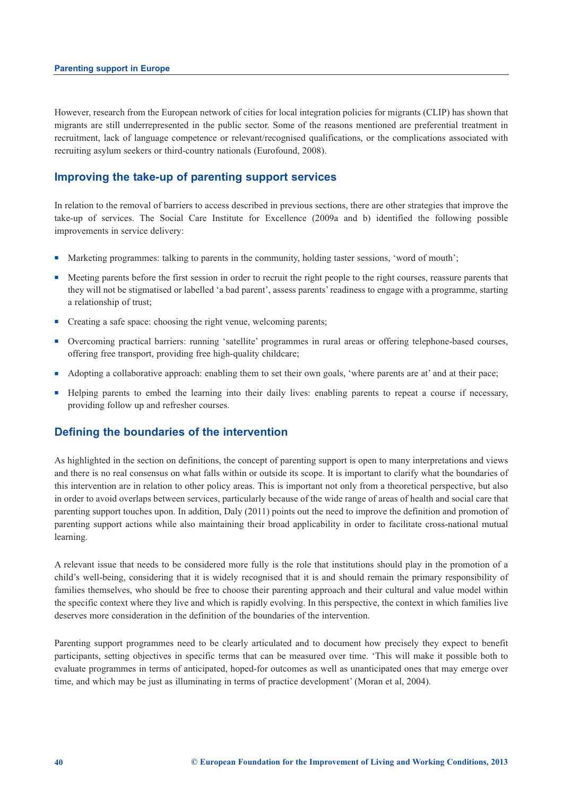However, research from the European network of cities for local integration policies for migrants (CLIP) has shown that migrants are still underrepresented in the public sector. Some of the reasons mentioned are preferential treatment in recruitment, lack of language competence or relevant/recognised qualifications, or the complications associated with recruiting asylum seekers or third-country nationals (Eurofound, 2008).

### **Improving the take-up of parenting support services**

In relation to the removal of barriers to access described in previous sections, there are other strategies that improve the take-up of services. The Social Care Institute for Excellence (2009a and b) identified the following possible improvements in service delivery:

- n Marketing programmes: talking to parents in the community, holding taster sessions, 'word of mouth';
- n Meeting parents before the first session in order to recruit the right people to the right courses, reassure parents that they will not be stigmatised or labelled 'a bad parent', assess parents' readiness to engage with a programme, starting a relationship of trust;
- Creating a safe space: choosing the right venue, welcoming parents;
- <sup>n</sup> Overcoming practical barriers: running 'satellite' programmes in rural areas or offering telephone-based courses, offering free transport, providing free high-quality childcare;
- <sup>n</sup> Adopting a collaborative approach: enabling them to set their own goals, 'where parents are at' and at their pace;
- <sup>n</sup> Helping parents to embed the learning into their daily lives: enabling parents to repeat a course if necessary, providing follow up and refresher courses.

### **Defining the boundaries of the intervention**

As highlighted in the section on definitions, the concept of parenting support is open to many interpretations and views and there is no real consensus on what falls within or outside its scope. It is important to clarify what the boundaries of this intervention are in relation to other policy areas. This is important not only from a theoretical perspective, but also in order to avoid overlaps between services, particularly because of the wide range of areas of health and social care that parenting support touches upon. In addition, Daly (2011) points out the need to improve the definition and promotion of parenting support actions while also maintaining their broad applicability in order to facilitate cross-national mutual learning.

A relevant issue that needs to be considered more fully is the role that institutions should play in the promotion of a child's well-being, considering that it is widely recognised that it is and should remain the primary responsibility of families themselves, who should be free to choose their parenting approach and their cultural and value model within the specific context where they live and which is rapidly evolving. In this perspective, the context in which families live deserves more consideration in the definition of the boundaries of the intervention.

Parenting support programmes need to be clearly articulated and to document how precisely they expect to benefit participants, setting objectives in specific terms that can be measured over time. 'This will make it possible both to evaluate programmes in terms of anticipated, hoped-for outcomes as well as unanticipated ones that may emerge over time, and which may be just as illuminating in terms of practice development' (Moran et al, 2004).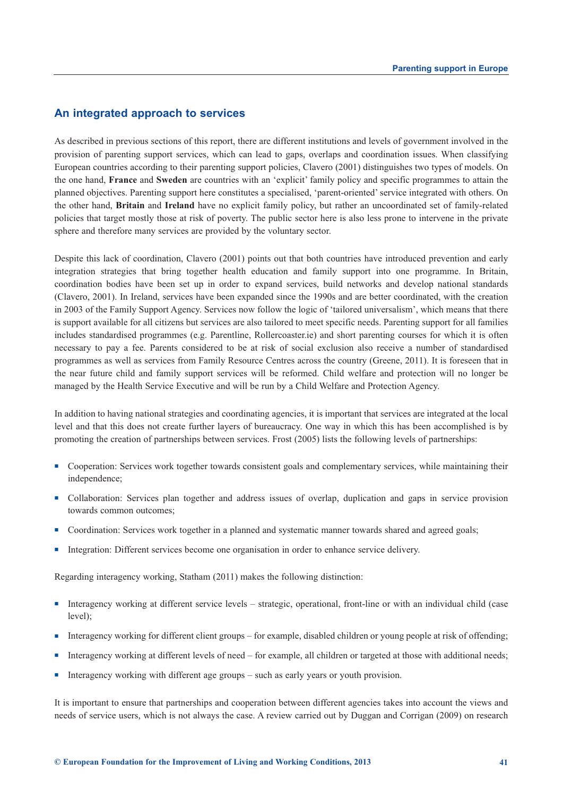### **An integrated approach to services**

As described in previous sections of this report, there are different institutions and levels of government involved in the provision of parenting support services, which can lead to gaps, overlaps and coordination issues. When classifying European countries according to their parenting support policies, Clavero (2001) distinguishes two types of models. On the one hand, **France** and **Sweden** are countries with an 'explicit' family policy and specific programmes to attain the planned objectives. Parenting support here constitutes a specialised, 'parent-oriented' service integrated with others. On the other hand, **Britain** and **Ireland** have no explicit family policy, but rather an uncoordinated set of family-related policies that target mostly those at risk of poverty. The public sector here is also less prone to intervene in the private sphere and therefore many services are provided by the voluntary sector.

Despite this lack of coordination, Clavero (2001) points out that both countries have introduced prevention and early integration strategies that bring together health education and family support into one programme. In Britain, coordination bodies have been set up in order to expand services, build networks and develop national standards (Clavero, 2001). In Ireland, services have been expanded since the 1990s and are better coordinated, with the creation in 2003 of the Family Support Agency. Services now follow the logic of 'tailored universalism', which means that there is support available for all citizens but services are also tailored to meet specific needs. Parenting support for all families includes standardised programmes (e.g. Parentline, Rollercoaster.ie) and short parenting courses for which it is often necessary to pay a fee. Parents considered to be at risk of social exclusion also receive a number of standardised programmes as well as services from Family Resource Centres across the country (Greene, 2011). It is foreseen that in the near future child and family support services will be reformed. Child welfare and protection will no longer be managed by the Health Service Executive and will be run by a Child Welfare and Protection Agency.

In addition to having national strategies and coordinating agencies, it is important that services are integrated at the local level and that this does not create further layers of bureaucracy. One way in which this has been accomplished is by promoting the creation of partnerships between services. Frost (2005) lists the following levels of partnerships:

- <sup>n</sup> Cooperation: Services work together towards consistent goals and complementary services, while maintaining their independence;
- <sup>n</sup> Collaboration: Services plan together and address issues of overlap, duplication and gaps in service provision towards common outcomes;
- Coordination: Services work together in a planned and systematic manner towards shared and agreed goals;
- <sup>n</sup> Integration: Different services become one organisation in order to enhance service delivery.

Regarding interagency working, Statham (2011) makes the following distinction:

- <sup>n</sup> Interagency working at different service levels strategic, operational, front-line or with an individual child (case level);
- <sup>n</sup> Interagency working for different client groups for example, disabled children or young people at risk of offending;
- <sup>n</sup> Interagency working at different levels of need for example, all children or targeted at those with additional needs;
- **n** Interagency working with different age groups such as early years or youth provision.

It is important to ensure that partnerships and cooperation between different agencies takes into account the views and needs of service users, which is not always the case. A review carried out by Duggan and Corrigan (2009) on research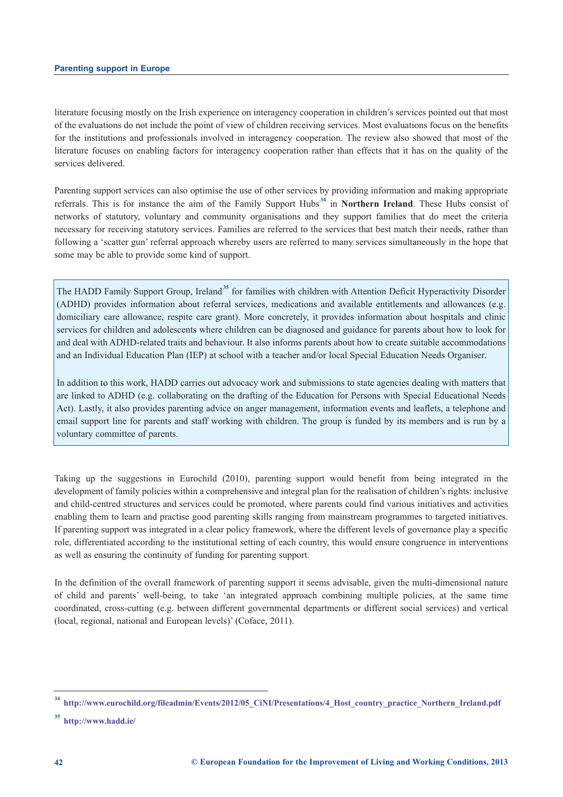literature focusing mostly on the Irish experience on interagency cooperation in children's services pointed out that most of the evaluations do not include the point of view of children receiving services. Most evaluations focus on the benefits for the institutions and professionals involved in interagency cooperation. The review also showed that most of the literature focuses on enabling factors for interagency cooperation rather than effects that it has on the quality of the services delivered.

Parenting support services can also optimise the use of other services by providing information and making appropriate referrals. This is for instance the aim of the Family Support Hubs **<sup>34</sup>** in **Northern Ireland**. These Hubs consist of networks of statutory, voluntary and community organisations and they support families that do meet the criteria necessary for receiving statutory services. Families are referred to the services that best match their needs, rather than following a 'scatter gun' referral approach whereby users are referred to many services simultaneously in the hope that some may be able to provide some kind of support.

The HADD Family Support Group, Ireland<sup>35</sup> for families with children with Attention Deficit Hyperactivity Disorder (ADHD) provides information about referral services, medications and available entitlements and allowances (e.g. domiciliary care allowance, respite care grant). More concretely, it provides information about hospitals and clinic services for children and adolescents where children can be diagnosed and guidance for parents about how to look for and deal with ADHD-related traits and behaviour. It also informs parents about how to create suitable accommodations and an Individual Education Plan (IEP) at school with a teacher and/or local Special Education Needs Organiser.

In addition to this work, HADD carries out advocacy work and submissions to state agencies dealing with matters that are linked to ADHD (e.g. collaborating on the drafting of the Education for Persons with Special Educational Needs Act). Lastly, it also provides parenting advice on anger management, information events and leaflets, a telephone and email support line for parents and staff working with children. The group is funded by its members and is run by a voluntary committee of parents.

Taking up the suggestions in Eurochild (2010), parenting support would benefit from being integrated in the development of family policies within a comprehensive and integral plan for the realisation of children's rights: inclusive and child-centred structures and services could be promoted, where parents could find various initiatives and activities enabling them to learn and practise good parenting skills ranging from mainstream programmes to targeted initiatives. If parenting support was integrated in a clear policy framework, where the different levels of governance play a specific role, differentiated according to the institutional setting of each country, this would ensure congruence in interventions as well as ensuring the continuity of funding for parenting support.

In the definition of the overall framework of parenting support it seems advisable, given the multi-dimensional nature of child and parents' well-being, to take 'an integrated approach combining multiple policies, at the same time coordinated, cross-cutting (e.g. between different governmental departments or different social services) and vertical (local, regional, national and European levels)' (Coface, 2011).

**<sup>34</sup> [http://www.eurochild.org/fileadmin/Events/2012/05\\_CiNI/Presentations/4\\_Host\\_country\\_practice\\_Northern\\_Ireland.pdf](http://www.eurochild.org/fileadmin/Events/2012/05_CiNI/Presentations/4_Host_country_practice_Northern_Ireland.pdf)**

**<sup>35</sup> <http://www.hadd.ie/>**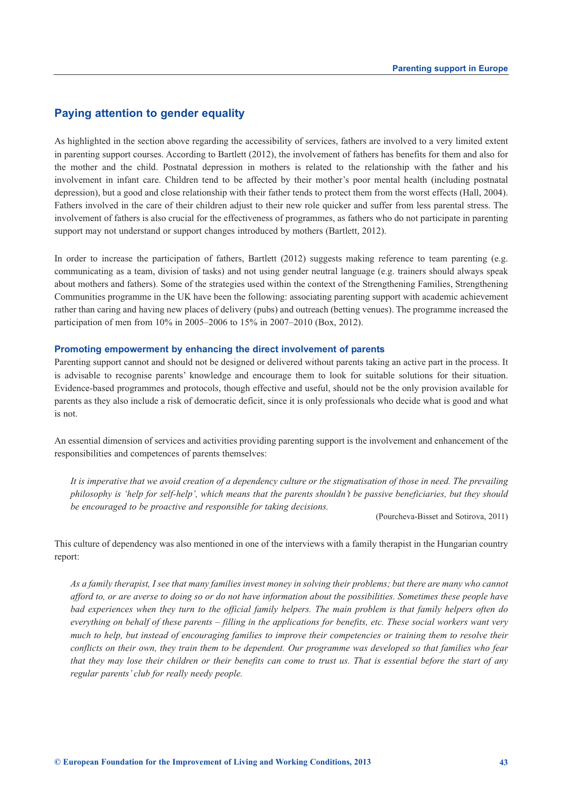### **Paying attention to gender equality**

As highlighted in the section above regarding the accessibility of services, fathers are involved to a very limited extent in parenting support courses. According to Bartlett (2012), the involvement of fathers has benefits for them and also for the mother and the child. Postnatal depression in mothers is related to the relationship with the father and his involvement in infant care. Children tend to be affected by their mother's poor mental health (including postnatal depression), but a good and close relationship with their father tends to protect them from the worst effects (Hall, 2004). Fathers involved in the care of their children adjust to their new role quicker and suffer from less parental stress. The involvement of fathers is also crucial for the effectiveness of programmes, as fathers who do not participate in parenting support may not understand or support changes introduced by mothers (Bartlett, 2012).

In order to increase the participation of fathers, Bartlett (2012) suggests making reference to team parenting (e.g. communicating as a team, division of tasks) and not using gender neutral language (e.g. trainers should always speak about mothers and fathers). Some of the strategies used within the context of the Strengthening Families, Strengthening Communities programme in the UK have been the following: associating parenting support with academic achievement rather than caring and having new places of delivery (pubs) and outreach (betting venues). The programme increased the participation of men from 10% in 2005–2006 to 15% in 2007–2010 (Box, 2012).

### **Promoting empowerment by enhancing the direct involvement of parents**

Parenting support cannot and should not be designed or delivered without parents taking an active part in the process. It is advisable to recognise parents' knowledge and encourage them to look for suitable solutions for their situation. Evidence-based programmes and protocols, though effective and useful, should not be the only provision available for parents as they also include a risk of democratic deficit, since it is only professionals who decide what is good and what is not.

An essential dimension of services and activities providing parenting support is the involvement and enhancement of the responsibilities and competences of parents themselves:

*It is imperative that we avoid creation of a dependency culture or the stigmatisation of those in need. The prevailing philosophy is 'help for self-help', which means that the parents shouldn't be passive beneficiaries, but they should be encouraged to be proactive and responsible for taking decisions.* 

(Pourcheva-Bisset and Sotirova, 2011)

This culture of dependency was also mentioned in one of the interviews with a family therapist in the Hungarian country report:

*As a family therapist, I see that many families invest money in solving their problems; but there are many who cannot afford to, or are averse to doing so or do not have information about the possibilities. Sometimes these people have bad experiences when they turn to the official family helpers. The main problem is that family helpers often do everything on behalf of these parents – filling in the applications for benefits, etc. These social workers want very much to help, but instead of encouraging families to improve their competencies or training them to resolve their conflicts on their own, they train them to be dependent. Our programme was developed so that families who fear that they may lose their children or their benefits can come to trust us. That is essential before the start of any regular parents' club for really needy people.*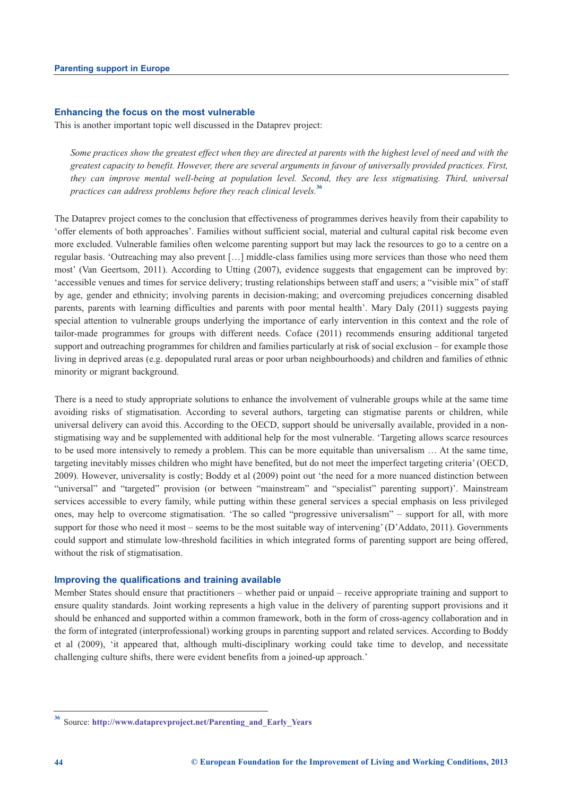### **Enhancing the focus on the most vulnerable**

This is another important topic well discussed in the Dataprev project:

*Some practices show the greatest effect when they are directed at parents with the highest level of need and with the greatest capacity to benefit. However, there are several arguments in favour of universally provided practices. First, they can improve mental well-being at population level. Second, they are less stigmatising. Third, universal practices can address problems before they reach clinical levels.***<sup>36</sup>**

The Dataprev project comes to the conclusion that effectiveness of programmes derives heavily from their capability to 'offer elements of both approaches'. Families without sufficient social, material and cultural capital risk become even more excluded. Vulnerable families often welcome parenting support but may lack the resources to go to a centre on a regular basis. 'Outreaching may also prevent […] middle-class families using more services than those who need them most' (Van Geertsom, 2011). According to Utting (2007), evidence suggests that engagement can be improved by: 'accessible venues and times for service delivery; trusting relationships between staff and users; a "visible mix" of staff by age, gender and ethnicity; involving parents in decision-making; and overcoming prejudices concerning disabled parents, parents with learning difficulties and parents with poor mental health'. Mary Daly (2011) suggests paying special attention to vulnerable groups underlying the importance of early intervention in this context and the role of tailor-made programmes for groups with different needs. Coface (2011) recommends ensuring additional targeted support and outreaching programmes for children and families particularly at risk of social exclusion – for example those living in deprived areas (e.g. depopulated rural areas or poor urban neighbourhoods) and children and families of ethnic minority or migrant background.

There is a need to study appropriate solutions to enhance the involvement of vulnerable groups while at the same time avoiding risks of stigmatisation. According to several authors, targeting can stigmatise parents or children, while universal delivery can avoid this. According to the OECD, support should be universally available, provided in a nonstigmatising way and be supplemented with additional help for the most vulnerable. 'Targeting allows scarce resources to be used more intensively to remedy a problem. This can be more equitable than universalism … At the same time, targeting inevitably misses children who might have benefited, but do not meet the imperfect targeting criteria' (OECD, 2009). However, universality is costly; Boddy et al (2009) point out 'the need for a more nuanced distinction between "universal" and "targeted" provision (or between "mainstream" and "specialist" parenting support)'. Mainstream services accessible to every family, while putting within these general services a special emphasis on less privileged ones, may help to overcome stigmatisation. 'The so called "progressive universalism" – support for all, with more support for those who need it most – seems to be the most suitable way of intervening' (D'Addato, 2011). Governments could support and stimulate low-threshold facilities in which integrated forms of parenting support are being offered, without the risk of stigmatisation.

#### **Improving the qualifications and training available**

Member States should ensure that practitioners – whether paid or unpaid – receive appropriate training and support to ensure quality standards. Joint working represents a high value in the delivery of parenting support provisions and it should be enhanced and supported within a common framework, both in the form of cross-agency collaboration and in the form of integrated (interprofessional) working groups in parenting support and related services. According to Boddy et al (2009), 'it appeared that, although multi-disciplinary working could take time to develop, and necessitate challenging culture shifts, there were evident benefits from a joined-up approach.'

**<sup>36</sup>** Source: **[http://www.dataprevproject.net/Parenting\\_and\\_Early\\_Years](http://www.dataprevproject.net/Parenting_and_Early_Years)**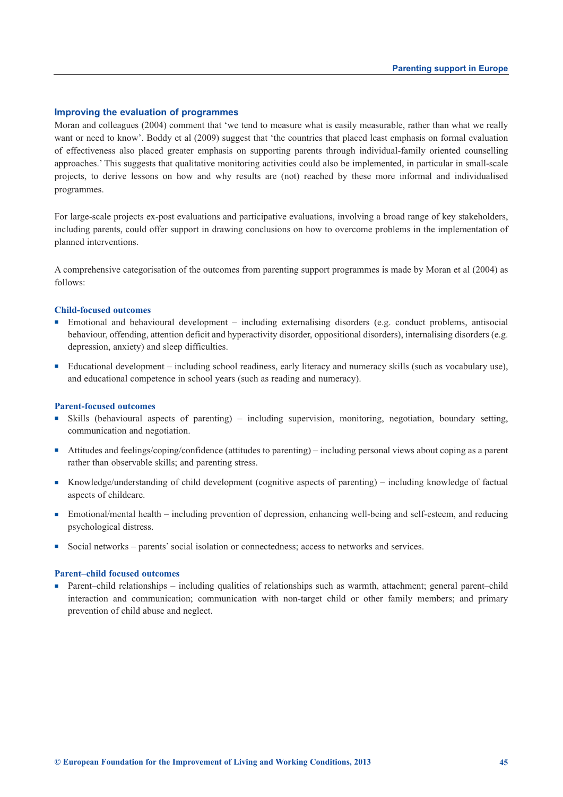### **Improving the evaluation of programmes**

Moran and colleagues (2004) comment that 'we tend to measure what is easily measurable, rather than what we really want or need to know'. Boddy et al (2009) suggest that 'the countries that placed least emphasis on formal evaluation of effectiveness also placed greater emphasis on supporting parents through individual-family oriented counselling approaches.' This suggests that qualitative monitoring activities could also be implemented, in particular in small-scale projects, to derive lessons on how and why results are (not) reached by these more informal and individualised programmes.

For large-scale projects ex-post evaluations and participative evaluations, involving a broad range of key stakeholders, including parents, could offer support in drawing conclusions on how to overcome problems in the implementation of planned interventions.

A comprehensive categorisation of the outcomes from parenting support programmes is made by Moran et al (2004) as follows:

### **Child-focused outcomes**

- <sup>n</sup> Emotional and behavioural development including externalising disorders (e.g. conduct problems, antisocial behaviour, offending, attention deficit and hyperactivity disorder, oppositional disorders), internalising disorders (e.g. depression, anxiety) and sleep difficulties.
- <sup>n</sup> Educational development including school readiness, early literacy and numeracy skills (such as vocabulary use), and educational competence in school years (such as reading and numeracy).

#### **Parent-focused outcomes**

- <sup>n</sup> Skills (behavioural aspects of parenting) including supervision, monitoring, negotiation, boundary setting, communication and negotiation.
- <sup>n</sup> Attitudes and feelings/coping/confidence (attitudes to parenting) including personal views about coping as a parent rather than observable skills; and parenting stress.
- <sup>n</sup> Knowledge/understanding of child development (cognitive aspects of parenting) including knowledge of factual aspects of childcare.
- $\blacksquare$  Emotional/mental health including prevention of depression, enhancing well-being and self-esteem, and reducing psychological distress.
- <sup>n</sup> Social networks parents' social isolation or connectedness; access to networks and services.

### **Parent–child focused outcomes**

■ Parent–child relationships – including qualities of relationships such as warmth, attachment; general parent–child interaction and communication; communication with non-target child or other family members; and primary prevention of child abuse and neglect.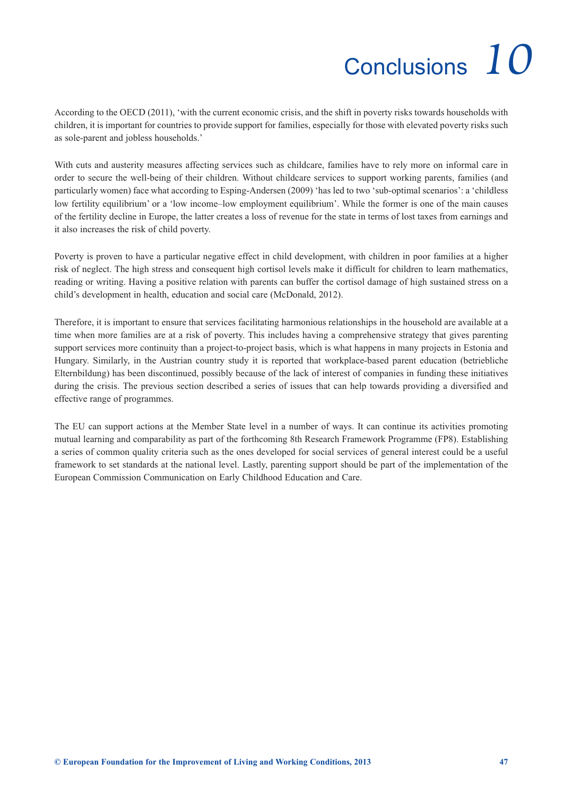# Conclusions *10*

<span id="page-50-0"></span>According to the OECD (2011), 'with the current economic crisis, and the shift in poverty risks towards households with children, it is important for countries to provide support for families, especially for those with elevated poverty risks such as sole-parent and jobless households.'

With cuts and austerity measures affecting services such as childcare, families have to rely more on informal care in order to secure the well-being of their children. Without childcare services to support working parents, families (and particularly women) face what according to Esping-Andersen (2009) 'has led to two 'sub-optimal scenarios': a 'childless low fertility equilibrium' or a 'low income–low employment equilibrium'. While the former is one of the main causes of the fertility decline in Europe, the latter creates a loss of revenue for the state in terms of lost taxes from earnings and it also increases the risk of child poverty.

Poverty is proven to have a particular negative effect in child development, with children in poor families at a higher risk of neglect. The high stress and consequent high cortisol levels make it difficult for children to learn mathematics, reading or writing. Having a positive relation with parents can buffer the cortisol damage of high sustained stress on a child's development in health, education and social care (McDonald, 2012).

Therefore, it is important to ensure that services facilitating harmonious relationships in the household are available at a time when more families are at a risk of poverty. This includes having a comprehensive strategy that gives parenting support services more continuity than a project-to-project basis, which is what happens in many projects in Estonia and Hungary. Similarly, in the Austrian country study it is reported that workplace-based parent education (betriebliche Elternbildung) has been discontinued, possibly because of the lack of interest of companies in funding these initiatives during the crisis. The previous section described a series of issues that can help towards providing a diversified and effective range of programmes.

The EU can support actions at the Member State level in a number of ways. It can continue its activities promoting mutual learning and comparability as part of the forthcoming 8th Research Framework Programme (FP8). Establishing a series of common quality criteria such as the ones developed for social services of general interest could be a useful framework to set standards at the national level. Lastly, parenting support should be part of the implementation of the European Commission Communication on Early Childhood Education and Care.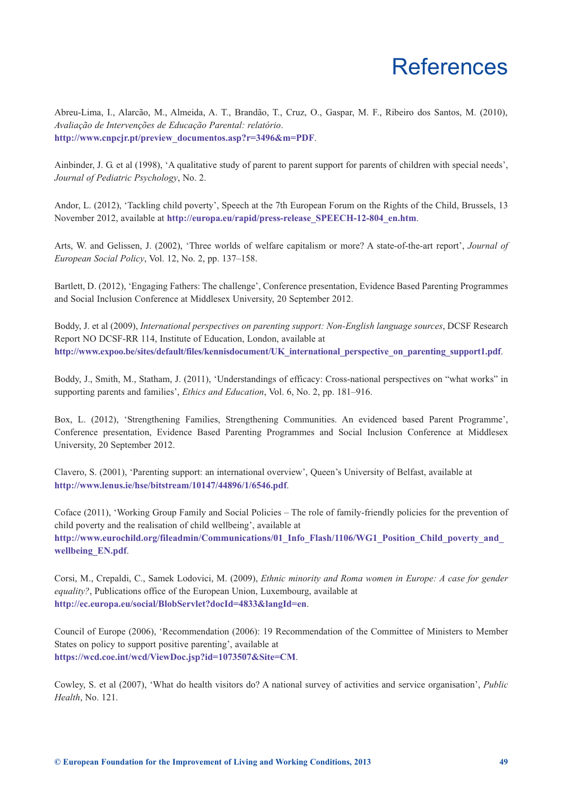### **References**

<span id="page-52-0"></span>Abreu-Lima, I., Alarcão, M., Almeida, A. T., Brandão, T., Cruz, O., Gaspar, M. F., Ribeiro dos Santos, M. (2010), *Avaliação de Intervenções de Educação Parental: relatório*. **[http://www.cnpcjr.pt/preview\\_documentos.asp?r=3496&m=PDF](http://www.cnpcjr.pt/preview_documentos.asp?r=3496&m=PDF)**.

Ainbinder, J. G. et al (1998), 'A qualitative study of parent to parent support for parents of children with special needs', *Journal of Pediatric Psychology*, No. 2.

Andor, L. (2012), 'Tackling child poverty', Speech at the 7th European Forum on the Rights of the Child, Brussels, 13 November 2012, available at **[http://europa.eu/rapid/press-release\\_SPEECH-12-804\\_en.htm](http://europa.eu/rapid/press-release_SPEECH-12-804_en.htm)**.

Arts, W. and Gelissen, J. (2002), 'Three worlds of welfare capitalism or more? A state-of-the-art report', *Journal of European Social Policy*, Vol. 12, No. 2, pp. 137–158.

Bartlett, D. (2012), 'Engaging Fathers: The challenge', Conference presentation, Evidence Based Parenting Programmes and Social Inclusion Conference at Middlesex University, 20 September 2012.

Boddy, J. et al (2009), *International perspectives on parenting support: Non-English language sources*, DCSF Research Report NO DCSF-RR 114, Institute of Education, London, available at **[http://www.expoo.be/sites/default/files/kennisdocument/UK\\_international\\_perspective\\_on\\_parenting\\_support1.pdf](http://www.expoo.be/sites/default/files/kennisdocument/UK_international_perspective_on_parenting_support1.pdf)**.

Boddy, J., Smith, M., Statham, J. (2011), 'Understandings of efficacy: Cross-national perspectives on "what works" in supporting parents and families', *Ethics and Education*, Vol. 6, No. 2, pp. 181–916.

Box, L. (2012), 'Strengthening Families, Strengthening Communities. An evidenced based Parent Programme', Conference presentation, Evidence Based Parenting Programmes and Social Inclusion Conference at Middlesex University, 20 September 2012.

Clavero, S. (2001), 'Parenting support: an international overview', Queen's University of Belfast, available at **<http://www.lenus.ie/hse/bitstream/10147/44896/1/6546.pdf>**.

Coface (2011), 'Working Group Family and Social Policies – The role of family-friendly policies for the prevention of child poverty and the realisation of child wellbeing', available at **[http://www.eurochild.org/fileadmin/Communications/01\\_Info\\_Flash/1106/WG1\\_Position\\_Child\\_poverty\\_and\\_](http://www.eurochild.org/fileadmin/Communications/01_Info_Flash/1106/WG1_Position_Child_poverty_and_wellbeing_EN.pdf.) wellbeing\_EN.pdf**.

Corsi, M., Crepaldi, C., Samek Lodovici, M. (2009), *Ethnic minority and Roma women in Europe: A case for gender equality?*, Publications office of the European Union, Luxembourg, available at **<http://ec.europa.eu/social/BlobServlet?docId=4833&langId=en>**.

Council of Europe (2006), 'Recommendation (2006): 19 Recommendation of the Committee of Ministers to Member States on policy to support positive parenting', available at **<https://wcd.coe.int/wcd/ViewDoc.jsp?id=1073507&Site=CM>**.

Cowley, S. et al (2007), 'What do health visitors do? A national survey of activities and service organisation', *Public Health*, No. 121.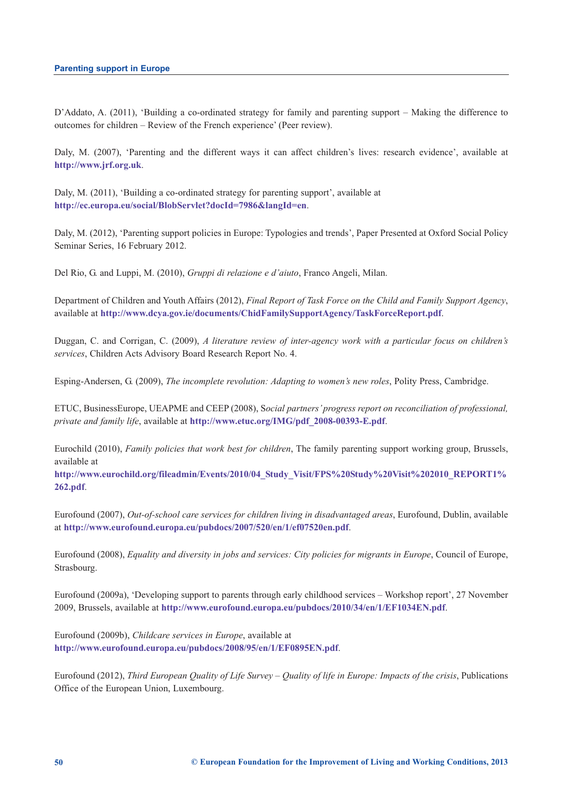D'Addato, A. (2011), 'Building a co-ordinated strategy for family and parenting support – Making the difference to outcomes for children – Review of the French experience' (Peer review).

Daly, M. (2007), 'Parenting and the different ways it can affect children's lives: research evidence', available at **<http://www.jrf.org.uk>**.

Daly, M. (2011), 'Building a co-ordinated strategy for parenting support', available at **<http://ec.europa.eu/social/BlobServlet?docId=7986&langId=en>**.

Daly, M. (2012), 'Parenting support policies in Europe: Typologies and trends', Paper Presented at Oxford Social Policy Seminar Series, 16 February 2012.

Del Rio, G. and Luppi, M. (2010), *Gruppi di relazione e d'aiuto*, Franco Angeli, Milan.

Department of Children and Youth Affairs (2012), *Final Report of Task Force on the Child and Family Support Agency*, available at **<http://www.dcya.gov.ie/documents/ChidFamilySupportAgency/TaskForceReport.pdf>**.

Duggan, C. and Corrigan, C. (2009), *A literature review of inter-agency work with a particular focus on children's services*, Children Acts Advisory Board Research Report No. 4.

Esping-Andersen, G. (2009), *The incomplete revolution: Adapting to women's new roles*, Polity Press, Cambridge.

ETUC, BusinessEurope, UEAPME and CEEP (2008), S*ocial partners' progress report on reconciliation of professional, private and family life*, available at **[http://www.etuc.org/IMG/pdf\\_2008-00393-E.pdf](http://www.etuc.org/IMG/pdf_2008-00393-E.pdf)**.

Eurochild (2010), *Family policies that work best for children*, The family parenting support working group, Brussels, available at

**[http://www.eurochild.org/fileadmin/Events/2010/04\\_Study\\_Visit/FPS%20Study%20Visit%202010\\_REPORT1%](http://www.eurochild.org/fileadmin/Events/2010/04_Study_Visit/FPS%20Study%20Visit%202010_REPORT1%262.pdf.) 262.pdf**.

Eurofound (2007), *Out-of-school care services for children living in disadvantaged areas*, Eurofound, Dublin, available at **<http://www.eurofound.europa.eu/pubdocs/2007/520/en/1/ef07520en.pdf>**.

Eurofound (2008), *Equality and diversity in jobs and services: City policies for migrants in Europe*, Council of Europe, Strasbourg.

Eurofound (2009a), 'Developing support to parents through early childhood services – Workshop report', 27 November 2009, Brussels, available at **<http://www.eurofound.europa.eu/pubdocs/2010/34/en/1/EF1034EN.pdf>**.

Eurofound (2009b), *Childcare services in Europe*, available at **<http://www.eurofound.europa.eu/pubdocs/2008/95/en/1/EF0895EN.pdf>**.

Eurofound (2012), *Third European Quality of Life Survey – Quality of life in Europe: Impacts of the crisis*, Publications Office of the European Union, Luxembourg.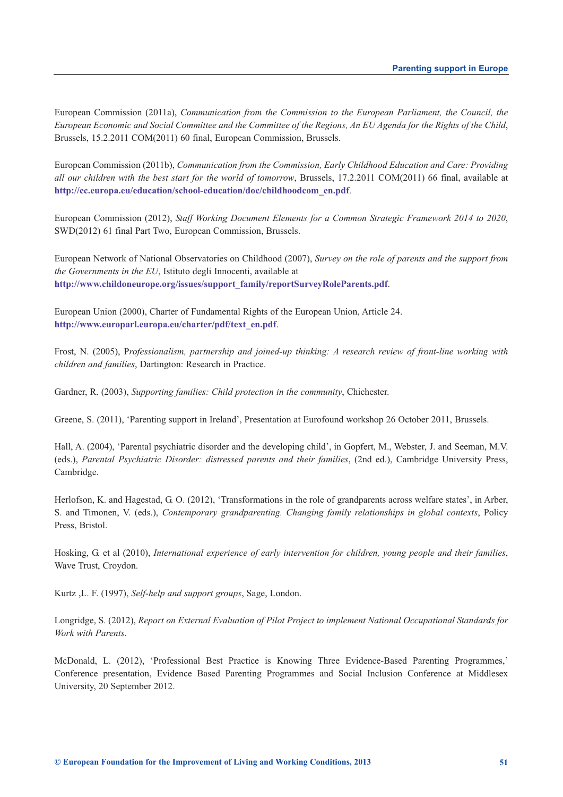European Commission (2011a), *Communication from the Commission to the European Parliament, the Council, the European Economic and Social Committee and the Committee of the Regions, An EU Agenda for the Rights of the Child*, Brussels, 15.2.2011 COM(2011) 60 final, European Commission, Brussels.

European Commission (2011b), *Communication from the Commission, Early Childhood Education and Care: Providing all our children with the best start for the world of tomorrow*, Brussels, 17.2.2011 COM(2011) 66 final, available at **[http://ec.europa.eu/education/school-education/doc/childhoodcom\\_en.pdf](http://ec.europa.eu/education/school-education/doc/childhoodcom_en.pdf)**.

European Commission (2012), *Staff Working Document Elements for a Common Strategic Framework 2014 to 2020*, SWD(2012) 61 final Part Two, European Commission, Brussels.

European Network of National Observatories on Childhood (2007), *Survey on the role of parents and the support from the Governments in the EU*, Istituto degli Innocenti, available at **[http://www.childoneurope.org/issues/support\\_family/reportSurveyRoleParents.pdf](http://www.childoneurope.org/issues/support_family/reportSurveyRoleParents.pdf)**.

European Union (2000), Charter of Fundamental Rights of the European Union, Article 24. **[http://www.europarl.europa.eu/charter/pdf/text\\_en.pdf](http://www.europarl.europa.eu/charter/pdf/text_en.pdf)**.

Frost, N. (2005), P*rofessionalism, partnership and joined-up thinking: A research review of front-line working with children and families*, Dartington: Research in Practice.

Gardner, R. (2003), *Supporting families: Child protection in the community*, Chichester.

Greene, S. (2011), 'Parenting support in Ireland', Presentation at Eurofound workshop 26 October 2011, Brussels.

Hall, A. (2004), 'Parental psychiatric disorder and the developing child', in Gopfert, M., Webster, J. and Seeman, M.V. (eds.), *Parental Psychiatric Disorder: distressed parents and their families*, (2nd ed.), Cambridge University Press, Cambridge.

Herlofson, K. and Hagestad, G. O. (2012), 'Transformations in the role of grandparents across welfare states', in Arber, S. and Timonen, V. (eds.), *Contemporary grandparenting. Changing family relationships in global contexts*, Policy Press, Bristol.

Hosking, G. et al (2010), *International experience of early intervention for children, young people and their families*, Wave Trust, Croydon.

Kurtz ,L. F. (1997), *Self-help and support groups*, Sage, London.

Longridge, S. (2012), *Report on External Evaluation of Pilot Project to implement National Occupational Standards for Work with Parents*.

McDonald, L. (2012), 'Professional Best Practice is Knowing Three Evidence-Based Parenting Programmes,' Conference presentation, Evidence Based Parenting Programmes and Social Inclusion Conference at Middlesex University, 20 September 2012.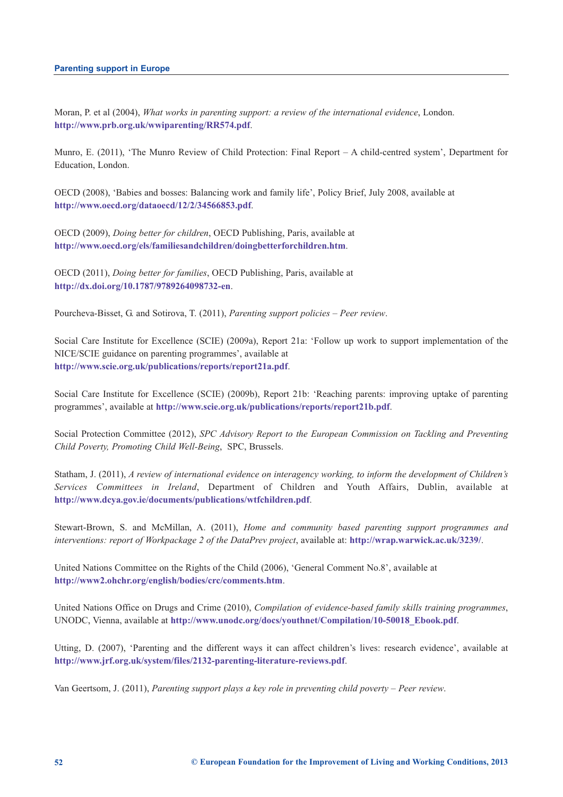Moran, P. et al (2004), *What works in parenting support: a review of the international evidence*, London. **<http://www.prb.org.uk/wwiparenting/RR574.pdf>**.

Munro, E. (2011), 'The Munro Review of Child Protection: Final Report – A child-centred system', Department for Education, London.

OECD (2008), 'Babies and bosses: Balancing work and family life', Policy Brief, July 2008, available at **<http://www.oecd.org/dataoecd/12/2/34566853.pdf>**.

OECD (2009), *Doing better for children*, OECD Publishing, Paris, available at **<http://www.oecd.org/els/familiesandchildren/doingbetterforchildren.htm>**.

OECD (2011), *Doing better for families*, OECD Publishing, Paris, available at **<http://dx.doi.org/10.1787/9789264098732-en>**.

Pourcheva-Bisset, G. and Sotirova, T. (2011), *Parenting support policies – Peer review*.

Social Care Institute for Excellence (SCIE) (2009a), Report 21a: 'Follow up work to support implementation of the NICE/SCIE guidance on parenting programmes', available at **<http://www.scie.org.uk/publications/reports/report21a.pdf>**.

Social Care Institute for Excellence (SCIE) (2009b), Report 21b: 'Reaching parents: improving uptake of parenting programmes', available at **<http://www.scie.org.uk/publications/reports/report21b.pdf>**.

Social Protection Committee (2012), *SPC Advisory Report to the European Commission on Tackling and Preventing Child Poverty, Promoting Child Well-Being*, SPC, Brussels.

Statham, J. (2011), *A review of international evidence on interagency working, to inform the development of Children's Services Committees in Ireland*, Department of Children and Youth Affairs, Dublin, available at **<http://www.dcya.gov.ie/documents/publications/wtfchildren.pdf>**.

Stewart-Brown, S. and McMillan, A. (2011), *Home and community based parenting support programmes and interventions: report of Workpackage 2 of the DataPrev project*, available at: **<http://wrap.warwick.ac.uk/3239/>**.

United Nations Committee on the Rights of the Child (2006), 'General Comment No.8', available at **<http://www2.ohchr.org/english/bodies/crc/comments.htm>**.

United Nations Office on Drugs and Crime (2010), *Compilation of evidence-based family skills training programmes*, UNODC, Vienna, available at **[http://www.unodc.org/docs/youthnet/Compilation/10-50018\\_Ebook.pdf](http://www.unodc.org/docs/youthnet/Compilation/10-50018_Ebook.pdf)**.

Utting, D. (2007), 'Parenting and the different ways it can affect children's lives: research evidence', available at **<http://www.jrf.org.uk/system/files/2132-parenting-literature-reviews.pdf>**.

Van Geertsom, J. (2011), *Parenting support plays a key role in preventing child poverty – Peer review*.